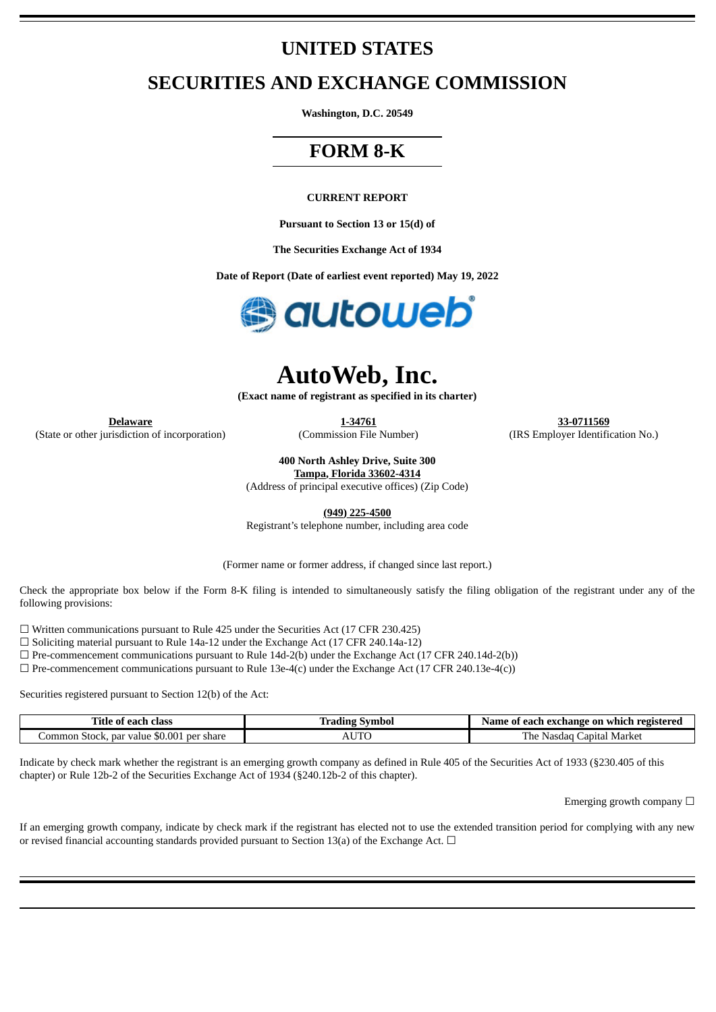## **UNITED STATES**

## **SECURITIES AND EXCHANGE COMMISSION**

**Washington, D.C. 20549**

## **FORM 8-K**

#### **CURRENT REPORT**

**Pursuant to Section 13 or 15(d) of**

**The Securities Exchange Act of 1934**

**Date of Report (Date of earliest event reported) May 19, 2022**



# **AutoWeb, Inc.**

**(Exact name of registrant as specified in its charter)**

(State or other jurisdiction of incorporation) (Commission File Number) (IRS Employer Identification No.)

**Delaware 1-34761 33-0711569**

**400 North Ashley Drive, Suite 300**

**Tampa, Florida 33602-4314** (Address of principal executive offices) (Zip Code)

**(949) 225-4500**

Registrant's telephone number, including area code

(Former name or former address, if changed since last report.)

Check the appropriate box below if the Form 8-K filing is intended to simultaneously satisfy the filing obligation of the registrant under any of the following provisions:

 $\Box$  Written communications pursuant to Rule 425 under the Securities Act (17 CFR 230.425)

☐ Soliciting material pursuant to Rule 14a-12 under the Exchange Act (17 CFR 240.14a-12)

 $\Box$  Pre-commencement communications pursuant to Rule 14d-2(b) under the Exchange Act (17 CFR 240.14d-2(b))

 $\Box$  Pre-commencement communications pursuant to Rule 13e-4(c) under the Exchange Act (17 CFR 240.13e-4(c))

Securities registered pursuant to Section 12(b) of the Act:

| Title of each class                           | ' Symbol<br>Tradıng | Name of each exchange on which registered |
|-----------------------------------------------|---------------------|-------------------------------------------|
| ، Stock, par value \$0.001 per share<br>ommon | UTC<br>ΆU           | The .<br>Japital Market<br>Nasdad         |

Indicate by check mark whether the registrant is an emerging growth company as defined in Rule 405 of the Securities Act of 1933 (§230.405 of this chapter) or Rule 12b-2 of the Securities Exchange Act of 1934 (§240.12b-2 of this chapter).

Emerging growth company  $\Box$ 

If an emerging growth company, indicate by check mark if the registrant has elected not to use the extended transition period for complying with any new or revised financial accounting standards provided pursuant to Section 13(a) of the Exchange Act.  $\Box$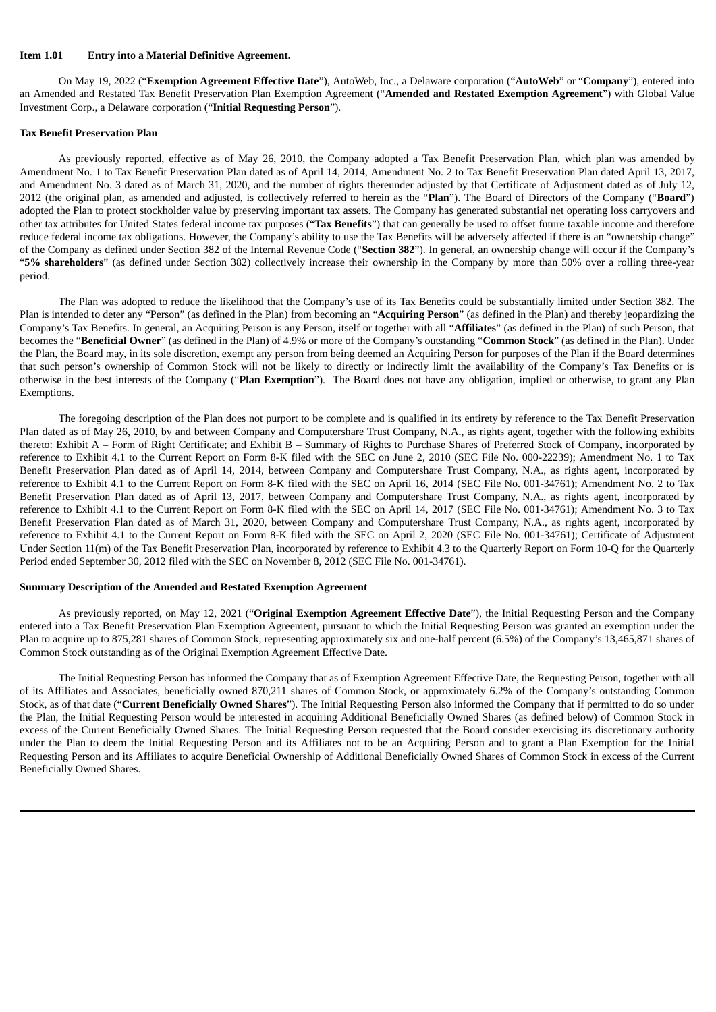#### **Item 1.01 Entry into a Material Definitive Agreement.**

On May 19, 2022 ("**Exemption Agreement Effective Date**"), AutoWeb, Inc., a Delaware corporation ("**AutoWeb**" or "**Company**"), entered into an Amended and Restated Tax Benefit Preservation Plan Exemption Agreement ("**Amended and Restated Exemption Agreement**") with Global Value Investment Corp., a Delaware corporation ("**Initial Requesting Person**").

#### **Tax Benefit Preservation Plan**

As previously reported, effective as of May 26, 2010, the Company adopted a Tax Benefit Preservation Plan, which plan was amended by Amendment No. 1 to Tax Benefit Preservation Plan dated as of April 14, 2014, Amendment No. 2 to Tax Benefit Preservation Plan dated April 13, 2017, and Amendment No. 3 dated as of March 31, 2020, and the number of rights thereunder adjusted by that Certificate of Adjustment dated as of July 12, 2012 (the original plan, as amended and adjusted, is collectively referred to herein as the "**Plan**"). The Board of Directors of the Company ("**Board**") adopted the Plan to protect stockholder value by preserving important tax assets. The Company has generated substantial net operating loss carryovers and other tax attributes for United States federal income tax purposes ("**Tax Benefits**") that can generally be used to offset future taxable income and therefore reduce federal income tax obligations. However, the Company's ability to use the Tax Benefits will be adversely affected if there is an "ownership change" of the Company as defined under Section 382 of the Internal Revenue Code ("**Section 382**"). In general, an ownership change will occur if the Company's "**5% shareholders**" (as defined under Section 382) collectively increase their ownership in the Company by more than 50% over a rolling three-year period.

The Plan was adopted to reduce the likelihood that the Company's use of its Tax Benefits could be substantially limited under Section 382. The Plan is intended to deter any "Person" (as defined in the Plan) from becoming an "**Acquiring Person**" (as defined in the Plan) and thereby jeopardizing the Company's Tax Benefits. In general, an Acquiring Person is any Person, itself or together with all "**Affiliates**" (as defined in the Plan) of such Person, that becomes the "**Beneficial Owner**" (as defined in the Plan) of 4.9% or more of the Company's outstanding "**Common Stock**" (as defined in the Plan). Under the Plan, the Board may, in its sole discretion, exempt any person from being deemed an Acquiring Person for purposes of the Plan if the Board determines that such person's ownership of Common Stock will not be likely to directly or indirectly limit the availability of the Company's Tax Benefits or is otherwise in the best interests of the Company ("**Plan Exemption**"). The Board does not have any obligation, implied or otherwise, to grant any Plan Exemptions.

The foregoing description of the Plan does not purport to be complete and is qualified in its entirety by reference to the Tax Benefit Preservation Plan dated as of May 26, 2010, by and between Company and Computershare Trust Company, N.A., as rights agent, together with the following exhibits thereto: Exhibit A – Form of Right Certificate; and Exhibit B – Summary of Rights to Purchase Shares of Preferred Stock of Company, incorporated by reference to Exhibit 4.1 to the Current Report on Form 8-K filed with the SEC on June 2, 2010 (SEC File No. 000-22239); Amendment No. 1 to Tax Benefit Preservation Plan dated as of April 14, 2014, between Company and Computershare Trust Company, N.A., as rights agent, incorporated by reference to Exhibit 4.1 to the Current Report on Form 8-K filed with the SEC on April 16, 2014 (SEC File No. 001-34761); Amendment No. 2 to Tax Benefit Preservation Plan dated as of April 13, 2017, between Company and Computershare Trust Company, N.A., as rights agent, incorporated by reference to Exhibit 4.1 to the Current Report on Form 8-K filed with the SEC on April 14, 2017 (SEC File No. 001-34761); Amendment No. 3 to Tax Benefit Preservation Plan dated as of March 31, 2020, between Company and Computershare Trust Company, N.A., as rights agent, incorporated by reference to Exhibit 4.1 to the Current Report on Form 8-K filed with the SEC on April 2, 2020 (SEC File No. 001-34761); Certificate of Adjustment Under Section 11(m) of the Tax Benefit Preservation Plan, incorporated by reference to Exhibit 4.3 to the Quarterly Report on Form 10-Q for the Quarterly Period ended September 30, 2012 filed with the SEC on November 8, 2012 (SEC File No. 001-34761).

#### **Summary Description of the Amended and Restated Exemption Agreement**

As previously reported, on May 12, 2021 ("**Original Exemption Agreement Effective Date**"), the Initial Requesting Person and the Company entered into a Tax Benefit Preservation Plan Exemption Agreement, pursuant to which the Initial Requesting Person was granted an exemption under the Plan to acquire up to 875,281 shares of Common Stock, representing approximately six and one-half percent (6.5%) of the Company's 13,465,871 shares of Common Stock outstanding as of the Original Exemption Agreement Effective Date.

The Initial Requesting Person has informed the Company that as of Exemption Agreement Effective Date, the Requesting Person, together with all of its Affiliates and Associates, beneficially owned 870,211 shares of Common Stock, or approximately 6.2% of the Company's outstanding Common Stock, as of that date ("**Current Beneficially Owned Shares**"). The Initial Requesting Person also informed the Company that if permitted to do so under the Plan, the Initial Requesting Person would be interested in acquiring Additional Beneficially Owned Shares (as defined below) of Common Stock in excess of the Current Beneficially Owned Shares. The Initial Requesting Person requested that the Board consider exercising its discretionary authority under the Plan to deem the Initial Requesting Person and its Affiliates not to be an Acquiring Person and to grant a Plan Exemption for the Initial Requesting Person and its Affiliates to acquire Beneficial Ownership of Additional Beneficially Owned Shares of Common Stock in excess of the Current Beneficially Owned Shares.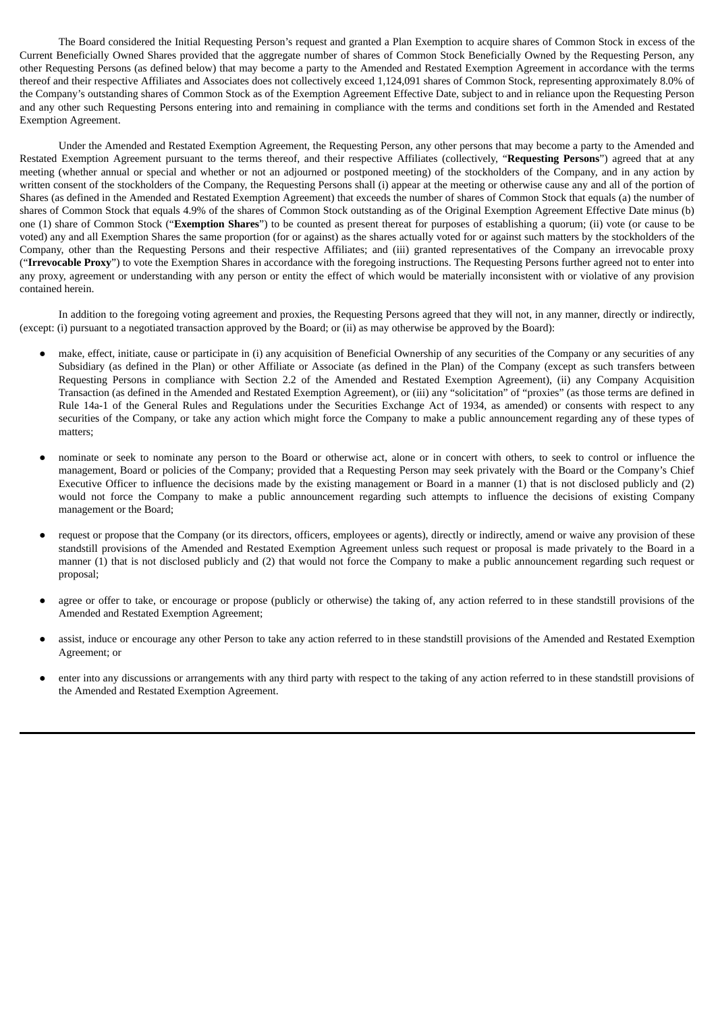The Board considered the Initial Requesting Person's request and granted a Plan Exemption to acquire shares of Common Stock in excess of the Current Beneficially Owned Shares provided that the aggregate number of shares of Common Stock Beneficially Owned by the Requesting Person, any other Requesting Persons (as defined below) that may become a party to the Amended and Restated Exemption Agreement in accordance with the terms thereof and their respective Affiliates and Associates does not collectively exceed 1,124,091 shares of Common Stock, representing approximately 8.0% of the Company's outstanding shares of Common Stock as of the Exemption Agreement Effective Date, subject to and in reliance upon the Requesting Person and any other such Requesting Persons entering into and remaining in compliance with the terms and conditions set forth in the Amended and Restated Exemption Agreement.

Under the Amended and Restated Exemption Agreement, the Requesting Person, any other persons that may become a party to the Amended and Restated Exemption Agreement pursuant to the terms thereof, and their respective Affiliates (collectively, "**Requesting Persons**") agreed that at any meeting (whether annual or special and whether or not an adjourned or postponed meeting) of the stockholders of the Company, and in any action by written consent of the stockholders of the Company, the Requesting Persons shall (i) appear at the meeting or otherwise cause any and all of the portion of Shares (as defined in the Amended and Restated Exemption Agreement) that exceeds the number of shares of Common Stock that equals (a) the number of shares of Common Stock that equals 4.9% of the shares of Common Stock outstanding as of the Original Exemption Agreement Effective Date minus (b) one (1) share of Common Stock ("**Exemption Shares**") to be counted as present thereat for purposes of establishing a quorum; (ii) vote (or cause to be voted) any and all Exemption Shares the same proportion (for or against) as the shares actually voted for or against such matters by the stockholders of the Company, other than the Requesting Persons and their respective Affiliates; and (iii) granted representatives of the Company an irrevocable proxy ("**Irrevocable Proxy**") to vote the Exemption Shares in accordance with the foregoing instructions. The Requesting Persons further agreed not to enter into any proxy, agreement or understanding with any person or entity the effect of which would be materially inconsistent with or violative of any provision contained herein.

In addition to the foregoing voting agreement and proxies, the Requesting Persons agreed that they will not, in any manner, directly or indirectly, (except: (i) pursuant to a negotiated transaction approved by the Board; or (ii) as may otherwise be approved by the Board):

- make, effect, initiate, cause or participate in (i) any acquisition of Beneficial Ownership of any securities of the Company or any securities of any Subsidiary (as defined in the Plan) or other Affiliate or Associate (as defined in the Plan) of the Company (except as such transfers between Requesting Persons in compliance with Section 2.2 of the Amended and Restated Exemption Agreement), (ii) any Company Acquisition Transaction (as defined in the Amended and Restated Exemption Agreement), or (iii) any "solicitation" of "proxies" (as those terms are defined in Rule 14a-1 of the General Rules and Regulations under the Securities Exchange Act of 1934, as amended) or consents with respect to any securities of the Company, or take any action which might force the Company to make a public announcement regarding any of these types of matters;
- nominate or seek to nominate any person to the Board or otherwise act, alone or in concert with others, to seek to control or influence the management, Board or policies of the Company; provided that a Requesting Person may seek privately with the Board or the Company's Chief Executive Officer to influence the decisions made by the existing management or Board in a manner (1) that is not disclosed publicly and (2) would not force the Company to make a public announcement regarding such attempts to influence the decisions of existing Company management or the Board;
- request or propose that the Company (or its directors, officers, employees or agents), directly or indirectly, amend or waive any provision of these standstill provisions of the Amended and Restated Exemption Agreement unless such request or proposal is made privately to the Board in a manner (1) that is not disclosed publicly and (2) that would not force the Company to make a public announcement regarding such request or proposal;
- agree or offer to take, or encourage or propose (publicly or otherwise) the taking of, any action referred to in these standstill provisions of the Amended and Restated Exemption Agreement;
- assist, induce or encourage any other Person to take any action referred to in these standstill provisions of the Amended and Restated Exemption Agreement; or
- enter into any discussions or arrangements with any third party with respect to the taking of any action referred to in these standstill provisions of the Amended and Restated Exemption Agreement.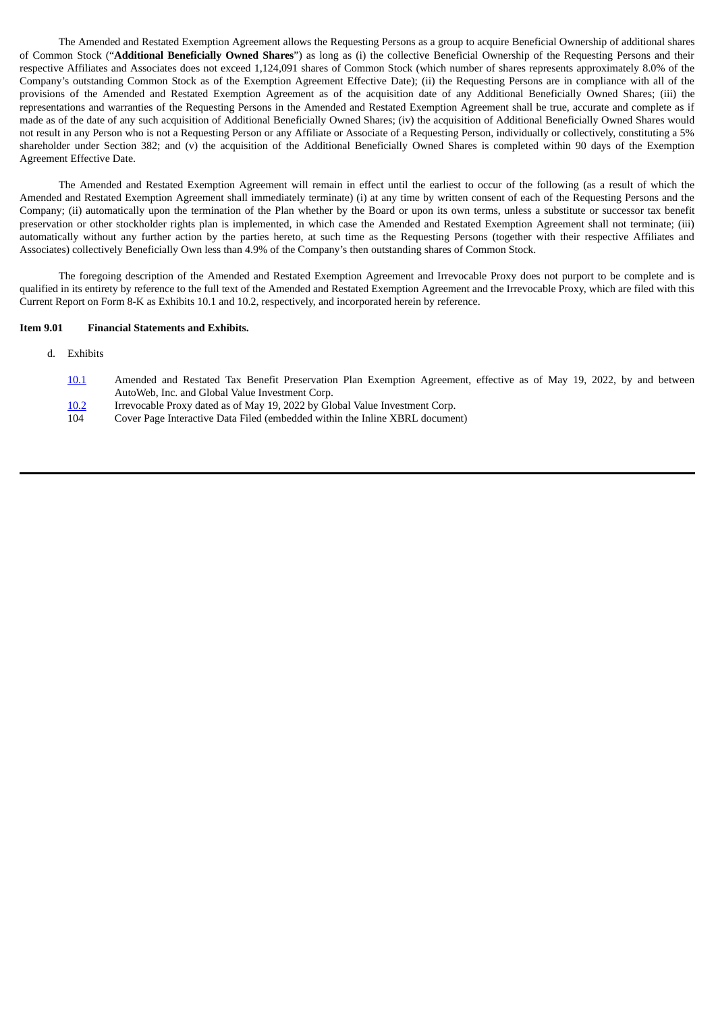The Amended and Restated Exemption Agreement allows the Requesting Persons as a group to acquire Beneficial Ownership of additional shares of Common Stock ("**Additional Beneficially Owned Shares**") as long as (i) the collective Beneficial Ownership of the Requesting Persons and their respective Affiliates and Associates does not exceed 1,124,091 shares of Common Stock (which number of shares represents approximately 8.0% of the Company's outstanding Common Stock as of the Exemption Agreement Effective Date); (ii) the Requesting Persons are in compliance with all of the provisions of the Amended and Restated Exemption Agreement as of the acquisition date of any Additional Beneficially Owned Shares; (iii) the representations and warranties of the Requesting Persons in the Amended and Restated Exemption Agreement shall be true, accurate and complete as if made as of the date of any such acquisition of Additional Beneficially Owned Shares; (iv) the acquisition of Additional Beneficially Owned Shares would not result in any Person who is not a Requesting Person or any Affiliate or Associate of a Requesting Person, individually or collectively, constituting a 5% shareholder under Section 382; and (v) the acquisition of the Additional Beneficially Owned Shares is completed within 90 days of the Exemption Agreement Effective Date.

The Amended and Restated Exemption Agreement will remain in effect until the earliest to occur of the following (as a result of which the Amended and Restated Exemption Agreement shall immediately terminate) (i) at any time by written consent of each of the Requesting Persons and the Company; (ii) automatically upon the termination of the Plan whether by the Board or upon its own terms, unless a substitute or successor tax benefit preservation or other stockholder rights plan is implemented, in which case the Amended and Restated Exemption Agreement shall not terminate; (iii) automatically without any further action by the parties hereto, at such time as the Requesting Persons (together with their respective Affiliates and Associates) collectively Beneficially Own less than 4.9% of the Company's then outstanding shares of Common Stock.

The foregoing description of the Amended and Restated Exemption Agreement and Irrevocable Proxy does not purport to be complete and is qualified in its entirety by reference to the full text of the Amended and Restated Exemption Agreement and the Irrevocable Proxy, which are filed with this Current Report on Form 8-K as Exhibits 10.1 and 10.2, respectively, and incorporated herein by reference.

#### **Item 9.01 Financial Statements and Exhibits.**

- d. Exhibits
	- [10.1](#page-5-0) Amended and Restated Tax Benefit Preservation Plan Exemption Agreement, effective as of May 19, 2022, by and between AutoWeb, Inc. and Global Value Investment Corp.
	- [10.2](#page-20-0) Irrevocable Proxy dated as of May 19, 2022 by Global Value Investment Corp.
	- 104 Cover Page Interactive Data Filed (embedded within the Inline XBRL document)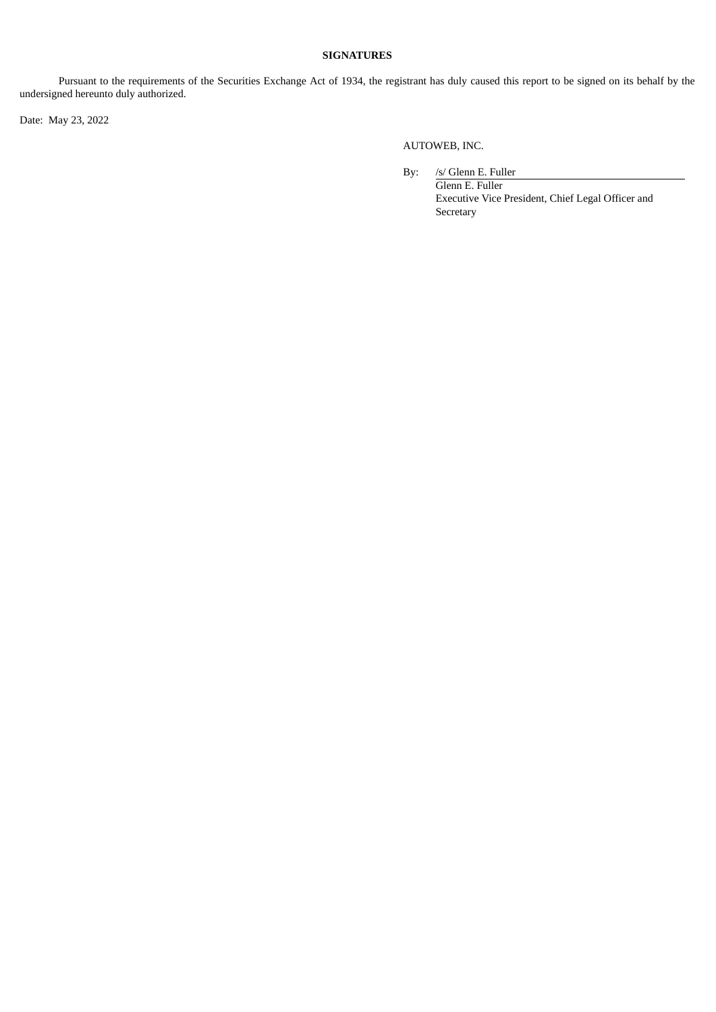#### **SIGNATURES**

Pursuant to the requirements of the Securities Exchange Act of 1934, the registrant has duly caused this report to be signed on its behalf by the undersigned hereunto duly authorized.

Date: May 23, 2022

AUTOWEB, INC.

By: /s/ Glenn E. Fuller Glenn E. Fuller Executive Vice President, Chief Legal Officer and Secretary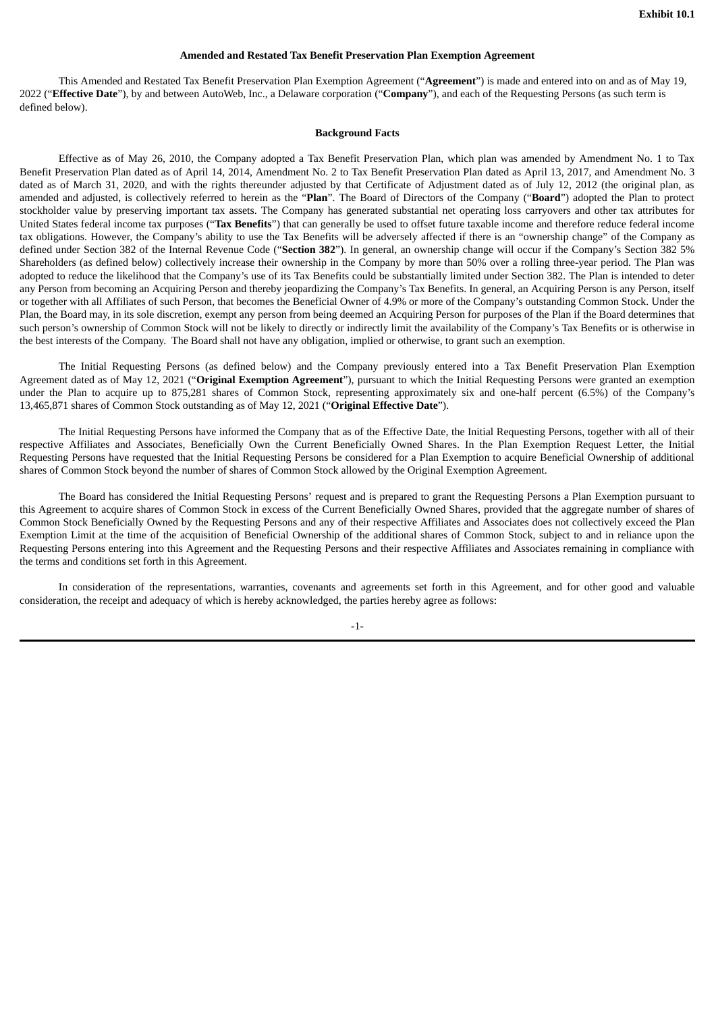#### **Amended and Restated Tax Benefit Preservation Plan Exemption Agreement**

<span id="page-5-0"></span>This Amended and Restated Tax Benefit Preservation Plan Exemption Agreement ("**Agreement**") is made and entered into on and as of May 19, 2022 ("**Effective Date**"), by and between AutoWeb, Inc., a Delaware corporation ("**Company**"), and each of the Requesting Persons (as such term is defined below).

#### **Background Facts**

Effective as of May 26, 2010, the Company adopted a Tax Benefit Preservation Plan, which plan was amended by Amendment No. 1 to Tax Benefit Preservation Plan dated as of April 14, 2014, Amendment No. 2 to Tax Benefit Preservation Plan dated as April 13, 2017, and Amendment No. 3 dated as of March 31, 2020, and with the rights thereunder adjusted by that Certificate of Adjustment dated as of July 12, 2012 (the original plan, as amended and adjusted, is collectively referred to herein as the "**Plan**". The Board of Directors of the Company ("**Board**") adopted the Plan to protect stockholder value by preserving important tax assets. The Company has generated substantial net operating loss carryovers and other tax attributes for United States federal income tax purposes ("**Tax Benefits**") that can generally be used to offset future taxable income and therefore reduce federal income tax obligations. However, the Company's ability to use the Tax Benefits will be adversely affected if there is an "ownership change" of the Company as defined under Section 382 of the Internal Revenue Code ("**Section 382**"). In general, an ownership change will occur if the Company's Section 382 5% Shareholders (as defined below) collectively increase their ownership in the Company by more than 50% over a rolling three-year period. The Plan was adopted to reduce the likelihood that the Company's use of its Tax Benefits could be substantially limited under Section 382. The Plan is intended to deter any Person from becoming an Acquiring Person and thereby jeopardizing the Company's Tax Benefits. In general, an Acquiring Person is any Person, itself or together with all Affiliates of such Person, that becomes the Beneficial Owner of 4.9% or more of the Company's outstanding Common Stock. Under the Plan, the Board may, in its sole discretion, exempt any person from being deemed an Acquiring Person for purposes of the Plan if the Board determines that such person's ownership of Common Stock will not be likely to directly or indirectly limit the availability of the Company's Tax Benefits or is otherwise in the best interests of the Company. The Board shall not have any obligation, implied or otherwise, to grant such an exemption.

The Initial Requesting Persons (as defined below) and the Company previously entered into a Tax Benefit Preservation Plan Exemption Agreement dated as of May 12, 2021 ("**Original Exemption Agreement**"), pursuant to which the Initial Requesting Persons were granted an exemption under the Plan to acquire up to 875,281 shares of Common Stock, representing approximately six and one-half percent (6.5%) of the Company's 13,465,871 shares of Common Stock outstanding as of May 12, 2021 ("**Original Effective Date**").

The Initial Requesting Persons have informed the Company that as of the Effective Date, the Initial Requesting Persons, together with all of their respective Affiliates and Associates, Beneficially Own the Current Beneficially Owned Shares. In the Plan Exemption Request Letter, the Initial Requesting Persons have requested that the Initial Requesting Persons be considered for a Plan Exemption to acquire Beneficial Ownership of additional shares of Common Stock beyond the number of shares of Common Stock allowed by the Original Exemption Agreement.

The Board has considered the Initial Requesting Persons' request and is prepared to grant the Requesting Persons a Plan Exemption pursuant to this Agreement to acquire shares of Common Stock in excess of the Current Beneficially Owned Shares, provided that the aggregate number of shares of Common Stock Beneficially Owned by the Requesting Persons and any of their respective Affiliates and Associates does not collectively exceed the Plan Exemption Limit at the time of the acquisition of Beneficial Ownership of the additional shares of Common Stock, subject to and in reliance upon the Requesting Persons entering into this Agreement and the Requesting Persons and their respective Affiliates and Associates remaining in compliance with the terms and conditions set forth in this Agreement.

In consideration of the representations, warranties, covenants and agreements set forth in this Agreement, and for other good and valuable consideration, the receipt and adequacy of which is hereby acknowledged, the parties hereby agree as follows:

-1-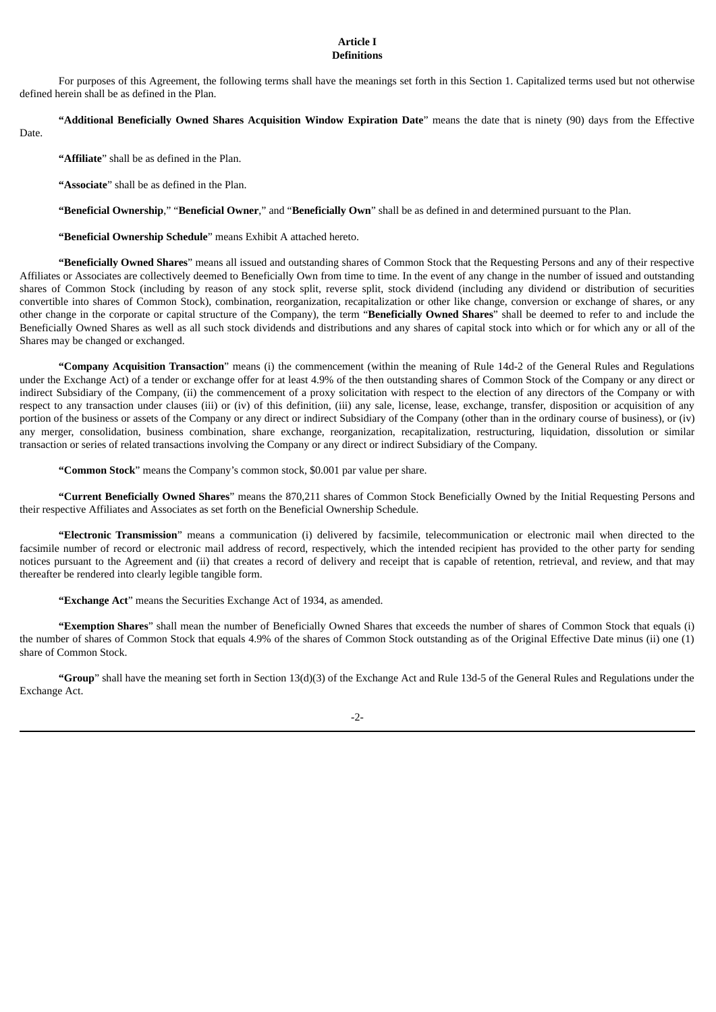#### **Article I Definitions**

For purposes of this Agreement, the following terms shall have the meanings set forth in this Section 1. Capitalized terms used but not otherwise defined herein shall be as defined in the Plan.

**"Additional Beneficially Owned Shares Acquisition Window Expiration Date**" means the date that is ninety (90) days from the Effective

Date.

**"Affiliate**" shall be as defined in the Plan.

**"Associate**" shall be as defined in the Plan.

**"Beneficial Ownership**," "**Beneficial Owner**," and "**Beneficially Own**" shall be as defined in and determined pursuant to the Plan.

**"Beneficial Ownership Schedule**" means Exhibit A attached hereto.

**"Beneficially Owned Shares**" means all issued and outstanding shares of Common Stock that the Requesting Persons and any of their respective Affiliates or Associates are collectively deemed to Beneficially Own from time to time. In the event of any change in the number of issued and outstanding shares of Common Stock (including by reason of any stock split, reverse split, stock dividend (including any dividend or distribution of securities convertible into shares of Common Stock), combination, reorganization, recapitalization or other like change, conversion or exchange of shares, or any other change in the corporate or capital structure of the Company), the term "**Beneficially Owned Shares**" shall be deemed to refer to and include the Beneficially Owned Shares as well as all such stock dividends and distributions and any shares of capital stock into which or for which any or all of the Shares may be changed or exchanged.

**"Company Acquisition Transaction**" means (i) the commencement (within the meaning of Rule 14d-2 of the General Rules and Regulations under the Exchange Act) of a tender or exchange offer for at least 4.9% of the then outstanding shares of Common Stock of the Company or any direct or indirect Subsidiary of the Company, (ii) the commencement of a proxy solicitation with respect to the election of any directors of the Company or with respect to any transaction under clauses (iii) or (iv) of this definition, (iii) any sale, license, lease, exchange, transfer, disposition or acquisition of any portion of the business or assets of the Company or any direct or indirect Subsidiary of the Company (other than in the ordinary course of business), or (iv) any merger, consolidation, business combination, share exchange, reorganization, recapitalization, restructuring, liquidation, dissolution or similar transaction or series of related transactions involving the Company or any direct or indirect Subsidiary of the Company.

**"Common Stock**" means the Company's common stock, \$0.001 par value per share.

**"Current Beneficially Owned Shares**" means the 870,211 shares of Common Stock Beneficially Owned by the Initial Requesting Persons and their respective Affiliates and Associates as set forth on the Beneficial Ownership Schedule.

**"Electronic Transmission**" means a communication (i) delivered by facsimile, telecommunication or electronic mail when directed to the facsimile number of record or electronic mail address of record, respectively, which the intended recipient has provided to the other party for sending notices pursuant to the Agreement and (ii) that creates a record of delivery and receipt that is capable of retention, retrieval, and review, and that may thereafter be rendered into clearly legible tangible form.

**"Exchange Act**" means the Securities Exchange Act of 1934, as amended.

**"Exemption Shares**" shall mean the number of Beneficially Owned Shares that exceeds the number of shares of Common Stock that equals (i) the number of shares of Common Stock that equals 4.9% of the shares of Common Stock outstanding as of the Original Effective Date minus (ii) one (1) share of Common Stock.

**"Group**" shall have the meaning set forth in Section 13(d)(3) of the Exchange Act and Rule 13d-5 of the General Rules and Regulations under the Exchange Act.

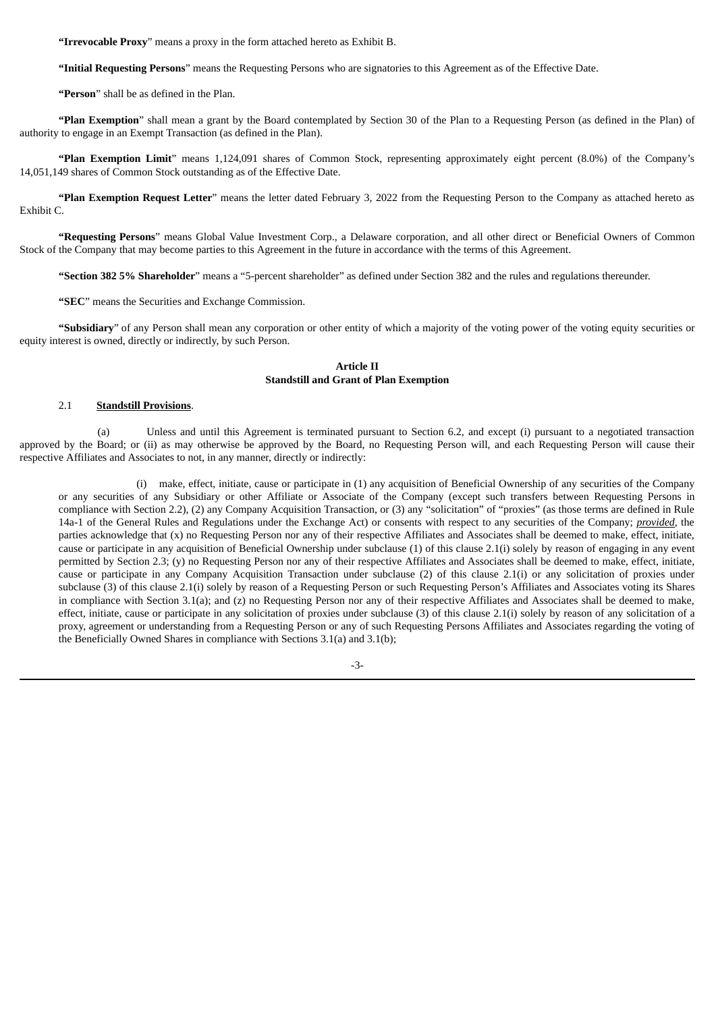**"Irrevocable Proxy**" means a proxy in the form attached hereto as Exhibit B.

**"Initial Requesting Persons**" means the Requesting Persons who are signatories to this Agreement as of the Effective Date.

**"Person**" shall be as defined in the Plan.

**"Plan Exemption**" shall mean a grant by the Board contemplated by Section 30 of the Plan to a Requesting Person (as defined in the Plan) of authority to engage in an Exempt Transaction (as defined in the Plan).

**"Plan Exemption Limit**" means 1,124,091 shares of Common Stock, representing approximately eight percent (8.0%) of the Company's 14,051,149 shares of Common Stock outstanding as of the Effective Date.

**"Plan Exemption Request Letter**" means the letter dated February 3, 2022 from the Requesting Person to the Company as attached hereto as Exhibit C.

**"Requesting Persons**" means Global Value Investment Corp., a Delaware corporation, and all other direct or Beneficial Owners of Common Stock of the Company that may become parties to this Agreement in the future in accordance with the terms of this Agreement.

**"Section 382 5% Shareholder**" means a "5-percent shareholder" as defined under Section 382 and the rules and regulations thereunder.

**"SEC**" means the Securities and Exchange Commission.

**"Subsidiary**" of any Person shall mean any corporation or other entity of which a majority of the voting power of the voting equity securities or equity interest is owned, directly or indirectly, by such Person.

#### **Article II Standstill and Grant of Plan Exemption**

#### 2.1 **Standstill Provisions**.

(a) Unless and until this Agreement is terminated pursuant to Section 6.2, and except (i) pursuant to a negotiated transaction approved by the Board; or (ii) as may otherwise be approved by the Board, no Requesting Person will, and each Requesting Person will cause their respective Affiliates and Associates to not, in any manner, directly or indirectly:

(i) make, effect, initiate, cause or participate in (1) any acquisition of Beneficial Ownership of any securities of the Company or any securities of any Subsidiary or other Affiliate or Associate of the Company (except such transfers between Requesting Persons in compliance with Section 2.2), (2) any Company Acquisition Transaction, or (3) any "solicitation" of "proxies" (as those terms are defined in Rule 14a-1 of the General Rules and Regulations under the Exchange Act) or consents with respect to any securities of the Company; *provided*, the parties acknowledge that (x) no Requesting Person nor any of their respective Affiliates and Associates shall be deemed to make, effect, initiate, cause or participate in any acquisition of Beneficial Ownership under subclause (1) of this clause 2.1(i) solely by reason of engaging in any event permitted by Section 2.3; (y) no Requesting Person nor any of their respective Affiliates and Associates shall be deemed to make, effect, initiate, cause or participate in any Company Acquisition Transaction under subclause (2) of this clause 2.1(i) or any solicitation of proxies under subclause (3) of this clause 2.1(i) solely by reason of a Requesting Person or such Requesting Person's Affiliates and Associates voting its Shares in compliance with Section 3.1(a); and (z) no Requesting Person nor any of their respective Affiliates and Associates shall be deemed to make, effect, initiate, cause or participate in any solicitation of proxies under subclause (3) of this clause 2.1(i) solely by reason of any solicitation of a proxy, agreement or understanding from a Requesting Person or any of such Requesting Persons Affiliates and Associates regarding the voting of the Beneficially Owned Shares in compliance with Sections 3.1(a) and 3.1(b);

-3-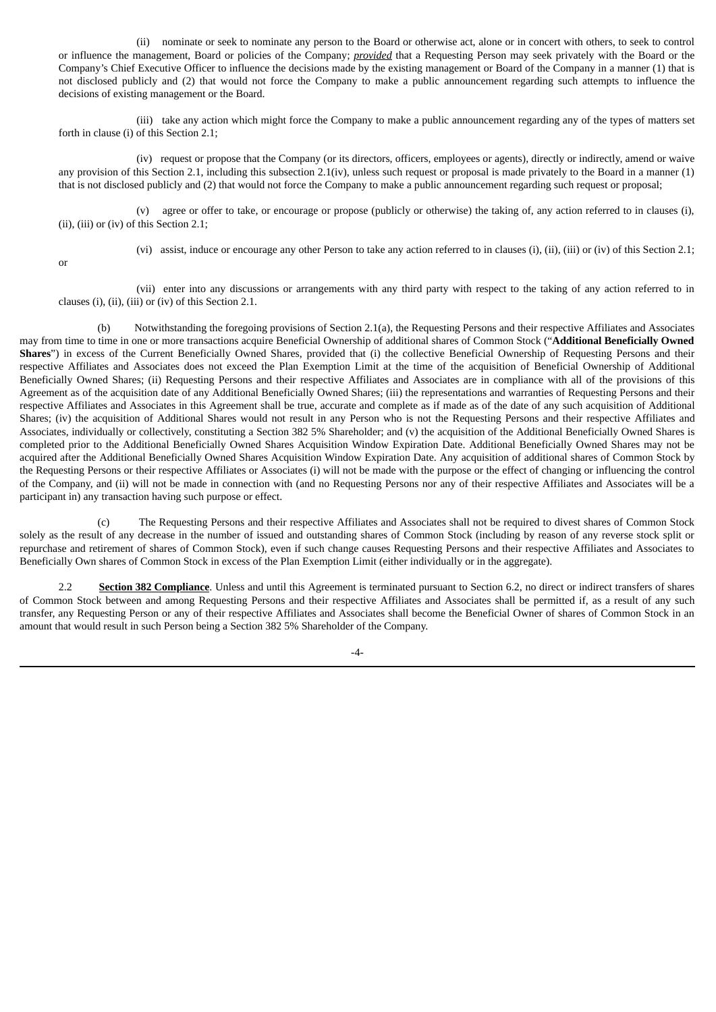(ii) nominate or seek to nominate any person to the Board or otherwise act, alone or in concert with others, to seek to control or influence the management, Board or policies of the Company; *provided* that a Requesting Person may seek privately with the Board or the Company's Chief Executive Officer to influence the decisions made by the existing management or Board of the Company in a manner (1) that is not disclosed publicly and (2) that would not force the Company to make a public announcement regarding such attempts to influence the decisions of existing management or the Board.

(iii) take any action which might force the Company to make a public announcement regarding any of the types of matters set forth in clause (i) of this Section 2.1;

(iv) request or propose that the Company (or its directors, officers, employees or agents), directly or indirectly, amend or waive any provision of this Section 2.1, including this subsection 2.1(iv), unless such request or proposal is made privately to the Board in a manner (1) that is not disclosed publicly and (2) that would not force the Company to make a public announcement regarding such request or proposal;

(v) agree or offer to take, or encourage or propose (publicly or otherwise) the taking of, any action referred to in clauses (i), (ii), (iii) or (iv) of this Section 2.1;

(vi) assist, induce or encourage any other Person to take any action referred to in clauses (i), (ii), (iii) or (iv) of this Section 2.1;

or

(vii) enter into any discussions or arrangements with any third party with respect to the taking of any action referred to in clauses (i), (ii), (iii) or (iv) of this Section 2.1.

(b) Notwithstanding the foregoing provisions of Section 2.1(a), the Requesting Persons and their respective Affiliates and Associates may from time to time in one or more transactions acquire Beneficial Ownership of additional shares of Common Stock ("**Additional Beneficially Owned Shares**") in excess of the Current Beneficially Owned Shares, provided that (i) the collective Beneficial Ownership of Requesting Persons and their respective Affiliates and Associates does not exceed the Plan Exemption Limit at the time of the acquisition of Beneficial Ownership of Additional Beneficially Owned Shares; (ii) Requesting Persons and their respective Affiliates and Associates are in compliance with all of the provisions of this Agreement as of the acquisition date of any Additional Beneficially Owned Shares; (iii) the representations and warranties of Requesting Persons and their respective Affiliates and Associates in this Agreement shall be true, accurate and complete as if made as of the date of any such acquisition of Additional Shares; (iv) the acquisition of Additional Shares would not result in any Person who is not the Requesting Persons and their respective Affiliates and Associates, individually or collectively, constituting a Section 382 5% Shareholder; and (v) the acquisition of the Additional Beneficially Owned Shares is completed prior to the Additional Beneficially Owned Shares Acquisition Window Expiration Date. Additional Beneficially Owned Shares may not be acquired after the Additional Beneficially Owned Shares Acquisition Window Expiration Date. Any acquisition of additional shares of Common Stock by the Requesting Persons or their respective Affiliates or Associates (i) will not be made with the purpose or the effect of changing or influencing the control of the Company, and (ii) will not be made in connection with (and no Requesting Persons nor any of their respective Affiliates and Associates will be a participant in) any transaction having such purpose or effect.

(c) The Requesting Persons and their respective Affiliates and Associates shall not be required to divest shares of Common Stock solely as the result of any decrease in the number of issued and outstanding shares of Common Stock (including by reason of any reverse stock split or repurchase and retirement of shares of Common Stock), even if such change causes Requesting Persons and their respective Affiliates and Associates to Beneficially Own shares of Common Stock in excess of the Plan Exemption Limit (either individually or in the aggregate).

2.2 **Section 382 Compliance**. Unless and until this Agreement is terminated pursuant to Section 6.2, no direct or indirect transfers of shares of Common Stock between and among Requesting Persons and their respective Affiliates and Associates shall be permitted if, as a result of any such transfer, any Requesting Person or any of their respective Affiliates and Associates shall become the Beneficial Owner of shares of Common Stock in an amount that would result in such Person being a Section 382 5% Shareholder of the Company.

-4-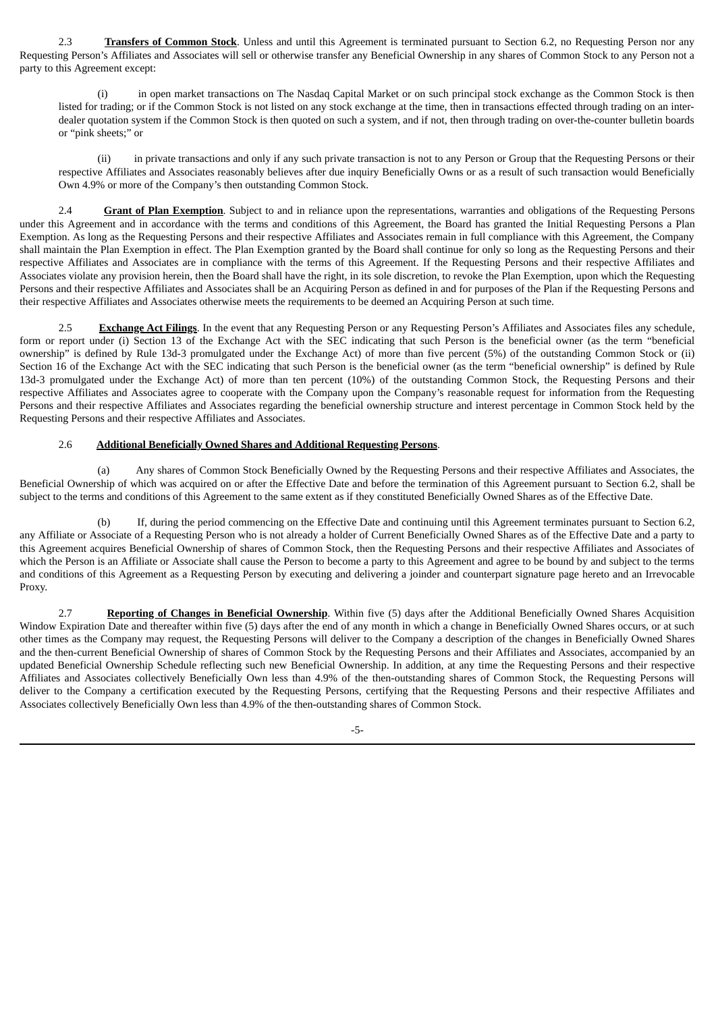2.3 **Transfers of Common Stock**. Unless and until this Agreement is terminated pursuant to Section 6.2, no Requesting Person nor any Requesting Person's Affiliates and Associates will sell or otherwise transfer any Beneficial Ownership in any shares of Common Stock to any Person not a party to this Agreement except:

(i) in open market transactions on The Nasdaq Capital Market or on such principal stock exchange as the Common Stock is then listed for trading; or if the Common Stock is not listed on any stock exchange at the time, then in transactions effected through trading on an interdealer quotation system if the Common Stock is then quoted on such a system, and if not, then through trading on over-the-counter bulletin boards or "pink sheets;" or

(ii) in private transactions and only if any such private transaction is not to any Person or Group that the Requesting Persons or their respective Affiliates and Associates reasonably believes after due inquiry Beneficially Owns or as a result of such transaction would Beneficially Own 4.9% or more of the Company's then outstanding Common Stock.

2.4 **Grant of Plan Exemption**. Subject to and in reliance upon the representations, warranties and obligations of the Requesting Persons under this Agreement and in accordance with the terms and conditions of this Agreement, the Board has granted the Initial Requesting Persons a Plan Exemption. As long as the Requesting Persons and their respective Affiliates and Associates remain in full compliance with this Agreement, the Company shall maintain the Plan Exemption in effect. The Plan Exemption granted by the Board shall continue for only so long as the Requesting Persons and their respective Affiliates and Associates are in compliance with the terms of this Agreement. If the Requesting Persons and their respective Affiliates and Associates violate any provision herein, then the Board shall have the right, in its sole discretion, to revoke the Plan Exemption, upon which the Requesting Persons and their respective Affiliates and Associates shall be an Acquiring Person as defined in and for purposes of the Plan if the Requesting Persons and their respective Affiliates and Associates otherwise meets the requirements to be deemed an Acquiring Person at such time.

2.5 **Exchange Act Filings**. In the event that any Requesting Person or any Requesting Person's Affiliates and Associates files any schedule, form or report under (i) Section 13 of the Exchange Act with the SEC indicating that such Person is the beneficial owner (as the term "beneficial ownership" is defined by Rule 13d-3 promulgated under the Exchange Act) of more than five percent (5%) of the outstanding Common Stock or (ii) Section 16 of the Exchange Act with the SEC indicating that such Person is the beneficial owner (as the term "beneficial ownership" is defined by Rule 13d-3 promulgated under the Exchange Act) of more than ten percent (10%) of the outstanding Common Stock, the Requesting Persons and their respective Affiliates and Associates agree to cooperate with the Company upon the Company's reasonable request for information from the Requesting Persons and their respective Affiliates and Associates regarding the beneficial ownership structure and interest percentage in Common Stock held by the Requesting Persons and their respective Affiliates and Associates.

#### 2.6 **Additional Beneficially Owned Shares and Additional Requesting Persons**.

(a) Any shares of Common Stock Beneficially Owned by the Requesting Persons and their respective Affiliates and Associates, the Beneficial Ownership of which was acquired on or after the Effective Date and before the termination of this Agreement pursuant to Section 6.2, shall be subject to the terms and conditions of this Agreement to the same extent as if they constituted Beneficially Owned Shares as of the Effective Date.

(b) If, during the period commencing on the Effective Date and continuing until this Agreement terminates pursuant to Section 6.2, any Affiliate or Associate of a Requesting Person who is not already a holder of Current Beneficially Owned Shares as of the Effective Date and a party to this Agreement acquires Beneficial Ownership of shares of Common Stock, then the Requesting Persons and their respective Affiliates and Associates of which the Person is an Affiliate or Associate shall cause the Person to become a party to this Agreement and agree to be bound by and subject to the terms and conditions of this Agreement as a Requesting Person by executing and delivering a joinder and counterpart signature page hereto and an Irrevocable Proxy.

2.7 **Reporting of Changes in Beneficial Ownership**. Within five (5) days after the Additional Beneficially Owned Shares Acquisition Window Expiration Date and thereafter within five (5) days after the end of any month in which a change in Beneficially Owned Shares occurs, or at such other times as the Company may request, the Requesting Persons will deliver to the Company a description of the changes in Beneficially Owned Shares and the then-current Beneficial Ownership of shares of Common Stock by the Requesting Persons and their Affiliates and Associates, accompanied by an updated Beneficial Ownership Schedule reflecting such new Beneficial Ownership. In addition, at any time the Requesting Persons and their respective Affiliates and Associates collectively Beneficially Own less than 4.9% of the then-outstanding shares of Common Stock, the Requesting Persons will deliver to the Company a certification executed by the Requesting Persons, certifying that the Requesting Persons and their respective Affiliates and Associates collectively Beneficially Own less than 4.9% of the then-outstanding shares of Common Stock.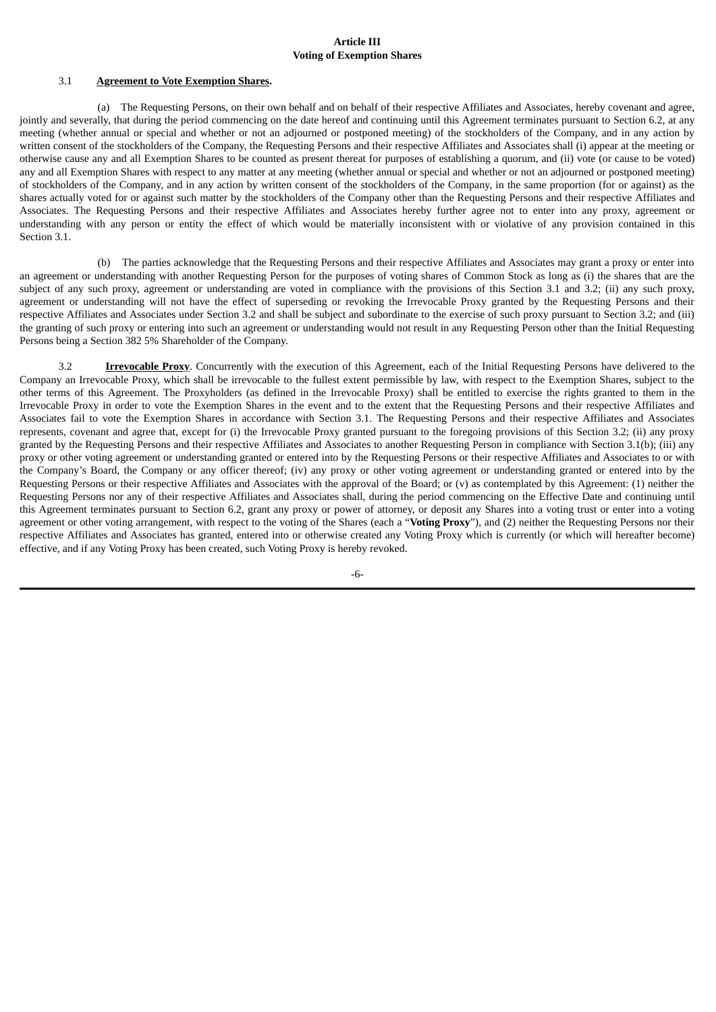#### **Article III Voting of Exemption Shares**

#### 3.1 **Agreement to Vote Exemption Shares.**

(a) The Requesting Persons, on their own behalf and on behalf of their respective Affiliates and Associates, hereby covenant and agree, jointly and severally, that during the period commencing on the date hereof and continuing until this Agreement terminates pursuant to Section 6.2, at any meeting (whether annual or special and whether or not an adjourned or postponed meeting) of the stockholders of the Company, and in any action by written consent of the stockholders of the Company, the Requesting Persons and their respective Affiliates and Associates shall (i) appear at the meeting or otherwise cause any and all Exemption Shares to be counted as present thereat for purposes of establishing a quorum, and (ii) vote (or cause to be voted) any and all Exemption Shares with respect to any matter at any meeting (whether annual or special and whether or not an adjourned or postponed meeting) of stockholders of the Company, and in any action by written consent of the stockholders of the Company, in the same proportion (for or against) as the shares actually voted for or against such matter by the stockholders of the Company other than the Requesting Persons and their respective Affiliates and Associates. The Requesting Persons and their respective Affiliates and Associates hereby further agree not to enter into any proxy, agreement or understanding with any person or entity the effect of which would be materially inconsistent with or violative of any provision contained in this Section 3.1.

(b) The parties acknowledge that the Requesting Persons and their respective Affiliates and Associates may grant a proxy or enter into an agreement or understanding with another Requesting Person for the purposes of voting shares of Common Stock as long as (i) the shares that are the subject of any such proxy, agreement or understanding are voted in compliance with the provisions of this Section 3.1 and 3.2; (ii) any such proxy, agreement or understanding will not have the effect of superseding or revoking the Irrevocable Proxy granted by the Requesting Persons and their respective Affiliates and Associates under Section 3.2 and shall be subject and subordinate to the exercise of such proxy pursuant to Section 3.2; and (iii) the granting of such proxy or entering into such an agreement or understanding would not result in any Requesting Person other than the Initial Requesting Persons being a Section 382 5% Shareholder of the Company.

3.2 **Irrevocable Proxy**. Concurrently with the execution of this Agreement, each of the Initial Requesting Persons have delivered to the Company an Irrevocable Proxy, which shall be irrevocable to the fullest extent permissible by law, with respect to the Exemption Shares, subject to the other terms of this Agreement. The Proxyholders (as defined in the Irrevocable Proxy) shall be entitled to exercise the rights granted to them in the Irrevocable Proxy in order to vote the Exemption Shares in the event and to the extent that the Requesting Persons and their respective Affiliates and Associates fail to vote the Exemption Shares in accordance with Section 3.1. The Requesting Persons and their respective Affiliates and Associates represents, covenant and agree that, except for (i) the Irrevocable Proxy granted pursuant to the foregoing provisions of this Section 3.2; (ii) any proxy granted by the Requesting Persons and their respective Affiliates and Associates to another Requesting Person in compliance with Section 3.1(b); (iii) any proxy or other voting agreement or understanding granted or entered into by the Requesting Persons or their respective Affiliates and Associates to or with the Company's Board, the Company or any officer thereof; (iv) any proxy or other voting agreement or understanding granted or entered into by the Requesting Persons or their respective Affiliates and Associates with the approval of the Board; or (v) as contemplated by this Agreement: (1) neither the Requesting Persons nor any of their respective Affiliates and Associates shall, during the period commencing on the Effective Date and continuing until this Agreement terminates pursuant to Section 6.2, grant any proxy or power of attorney, or deposit any Shares into a voting trust or enter into a voting agreement or other voting arrangement, with respect to the voting of the Shares (each a "**Voting Proxy**"), and (2) neither the Requesting Persons nor their respective Affiliates and Associates has granted, entered into or otherwise created any Voting Proxy which is currently (or which will hereafter become) effective, and if any Voting Proxy has been created, such Voting Proxy is hereby revoked.

-6-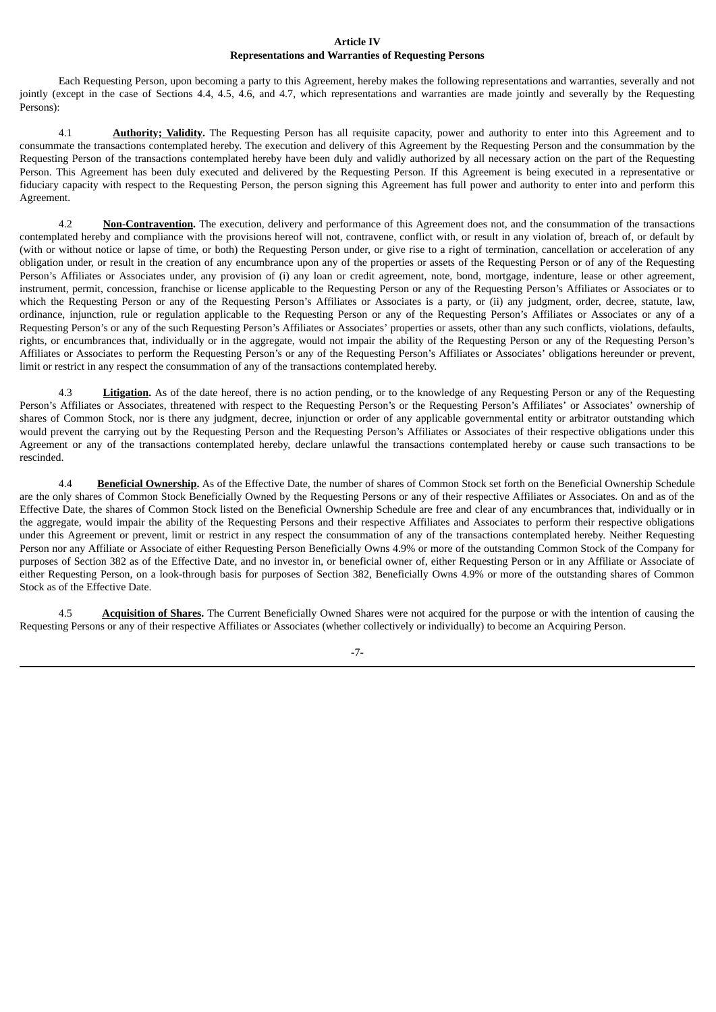#### **Article IV Representations and Warranties of Requesting Persons**

Each Requesting Person, upon becoming a party to this Agreement, hereby makes the following representations and warranties, severally and not jointly (except in the case of Sections 4.4, 4.5, 4.6, and 4.7, which representations and warranties are made jointly and severally by the Requesting Persons):

4.1 **Authority; Validity.** The Requesting Person has all requisite capacity, power and authority to enter into this Agreement and to consummate the transactions contemplated hereby. The execution and delivery of this Agreement by the Requesting Person and the consummation by the Requesting Person of the transactions contemplated hereby have been duly and validly authorized by all necessary action on the part of the Requesting Person. This Agreement has been duly executed and delivered by the Requesting Person. If this Agreement is being executed in a representative or fiduciary capacity with respect to the Requesting Person, the person signing this Agreement has full power and authority to enter into and perform this Agreement.

4.2 **Non-Contravention.** The execution, delivery and performance of this Agreement does not, and the consummation of the transactions contemplated hereby and compliance with the provisions hereof will not, contravene, conflict with, or result in any violation of, breach of, or default by (with or without notice or lapse of time, or both) the Requesting Person under, or give rise to a right of termination, cancellation or acceleration of any obligation under, or result in the creation of any encumbrance upon any of the properties or assets of the Requesting Person or of any of the Requesting Person's Affiliates or Associates under, any provision of (i) any loan or credit agreement, note, bond, mortgage, indenture, lease or other agreement, instrument, permit, concession, franchise or license applicable to the Requesting Person or any of the Requesting Person's Affiliates or Associates or to which the Requesting Person or any of the Requesting Person's Affiliates or Associates is a party, or (ii) any judgment, order, decree, statute, law, ordinance, injunction, rule or regulation applicable to the Requesting Person or any of the Requesting Person's Affiliates or Associates or any of a Requesting Person's or any of the such Requesting Person's Affiliates or Associates' properties or assets, other than any such conflicts, violations, defaults, rights, or encumbrances that, individually or in the aggregate, would not impair the ability of the Requesting Person or any of the Requesting Person's Affiliates or Associates to perform the Requesting Person's or any of the Requesting Person's Affiliates or Associates' obligations hereunder or prevent, limit or restrict in any respect the consummation of any of the transactions contemplated hereby.

4.3 **Litigation.** As of the date hereof, there is no action pending, or to the knowledge of any Requesting Person or any of the Requesting Person's Affiliates or Associates, threatened with respect to the Requesting Person's or the Requesting Person's Affiliates' or Associates' ownership of shares of Common Stock, nor is there any judgment, decree, injunction or order of any applicable governmental entity or arbitrator outstanding which would prevent the carrying out by the Requesting Person and the Requesting Person's Affiliates or Associates of their respective obligations under this Agreement or any of the transactions contemplated hereby, declare unlawful the transactions contemplated hereby or cause such transactions to be rescinded.

4.4 **Beneficial Ownership.** As of the Effective Date, the number of shares of Common Stock set forth on the Beneficial Ownership Schedule are the only shares of Common Stock Beneficially Owned by the Requesting Persons or any of their respective Affiliates or Associates. On and as of the Effective Date, the shares of Common Stock listed on the Beneficial Ownership Schedule are free and clear of any encumbrances that, individually or in the aggregate, would impair the ability of the Requesting Persons and their respective Affiliates and Associates to perform their respective obligations under this Agreement or prevent, limit or restrict in any respect the consummation of any of the transactions contemplated hereby. Neither Requesting Person nor any Affiliate or Associate of either Requesting Person Beneficially Owns 4.9% or more of the outstanding Common Stock of the Company for purposes of Section 382 as of the Effective Date, and no investor in, or beneficial owner of, either Requesting Person or in any Affiliate or Associate of either Requesting Person, on a look-through basis for purposes of Section 382, Beneficially Owns 4.9% or more of the outstanding shares of Common Stock as of the Effective Date.

4.5 **Acquisition of Shares.** The Current Beneficially Owned Shares were not acquired for the purpose or with the intention of causing the Requesting Persons or any of their respective Affiliates or Associates (whether collectively or individually) to become an Acquiring Person.

-7-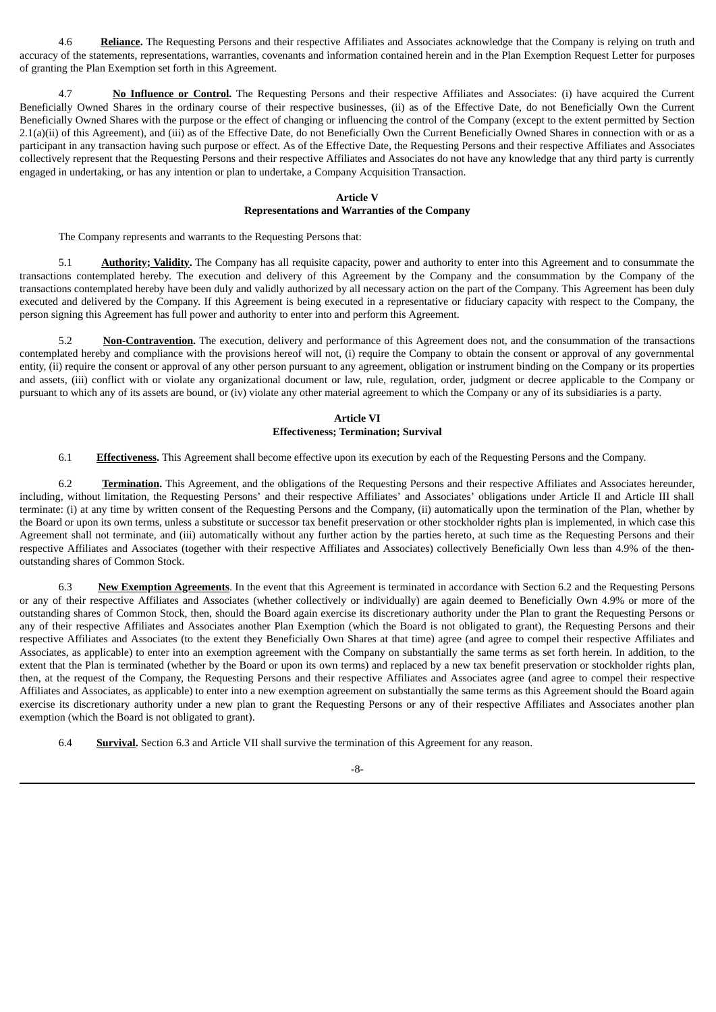4.6 **Reliance.** The Requesting Persons and their respective Affiliates and Associates acknowledge that the Company is relying on truth and accuracy of the statements, representations, warranties, covenants and information contained herein and in the Plan Exemption Request Letter for purposes of granting the Plan Exemption set forth in this Agreement.

4.7 **No Influence or Control.** The Requesting Persons and their respective Affiliates and Associates: (i) have acquired the Current Beneficially Owned Shares in the ordinary course of their respective businesses, (ii) as of the Effective Date, do not Beneficially Own the Current Beneficially Owned Shares with the purpose or the effect of changing or influencing the control of the Company (except to the extent permitted by Section 2.1(a)(ii) of this Agreement), and (iii) as of the Effective Date, do not Beneficially Own the Current Beneficially Owned Shares in connection with or as a participant in any transaction having such purpose or effect. As of the Effective Date, the Requesting Persons and their respective Affiliates and Associates collectively represent that the Requesting Persons and their respective Affiliates and Associates do not have any knowledge that any third party is currently engaged in undertaking, or has any intention or plan to undertake, a Company Acquisition Transaction.

#### **Article V**

#### **Representations and Warranties of the Company**

The Company represents and warrants to the Requesting Persons that:

5.1 **Authority; Validity.** The Company has all requisite capacity, power and authority to enter into this Agreement and to consummate the transactions contemplated hereby. The execution and delivery of this Agreement by the Company and the consummation by the Company of the transactions contemplated hereby have been duly and validly authorized by all necessary action on the part of the Company. This Agreement has been duly executed and delivered by the Company. If this Agreement is being executed in a representative or fiduciary capacity with respect to the Company, the person signing this Agreement has full power and authority to enter into and perform this Agreement.

5.2 **Non-Contravention.** The execution, delivery and performance of this Agreement does not, and the consummation of the transactions contemplated hereby and compliance with the provisions hereof will not, (i) require the Company to obtain the consent or approval of any governmental entity, (ii) require the consent or approval of any other person pursuant to any agreement, obligation or instrument binding on the Company or its properties and assets, (iii) conflict with or violate any organizational document or law, rule, regulation, order, judgment or decree applicable to the Company or pursuant to which any of its assets are bound, or (iv) violate any other material agreement to which the Company or any of its subsidiaries is a party.

#### **Article VI Effectiveness; Termination; Survival**

6.1 **Effectiveness.** This Agreement shall become effective upon its execution by each of the Requesting Persons and the Company.

6.2 **Termination.** This Agreement, and the obligations of the Requesting Persons and their respective Affiliates and Associates hereunder, including, without limitation, the Requesting Persons' and their respective Affiliates' and Associates' obligations under Article II and Article III shall terminate: (i) at any time by written consent of the Requesting Persons and the Company, (ii) automatically upon the termination of the Plan, whether by the Board or upon its own terms, unless a substitute or successor tax benefit preservation or other stockholder rights plan is implemented, in which case this Agreement shall not terminate, and (iii) automatically without any further action by the parties hereto, at such time as the Requesting Persons and their respective Affiliates and Associates (together with their respective Affiliates and Associates) collectively Beneficially Own less than 4.9% of the thenoutstanding shares of Common Stock.

6.3 **New Exemption Agreements**. In the event that this Agreement is terminated in accordance with Section 6.2 and the Requesting Persons or any of their respective Affiliates and Associates (whether collectively or individually) are again deemed to Beneficially Own 4.9% or more of the outstanding shares of Common Stock, then, should the Board again exercise its discretionary authority under the Plan to grant the Requesting Persons or any of their respective Affiliates and Associates another Plan Exemption (which the Board is not obligated to grant), the Requesting Persons and their respective Affiliates and Associates (to the extent they Beneficially Own Shares at that time) agree (and agree to compel their respective Affiliates and Associates, as applicable) to enter into an exemption agreement with the Company on substantially the same terms as set forth herein. In addition, to the extent that the Plan is terminated (whether by the Board or upon its own terms) and replaced by a new tax benefit preservation or stockholder rights plan, then, at the request of the Company, the Requesting Persons and their respective Affiliates and Associates agree (and agree to compel their respective Affiliates and Associates, as applicable) to enter into a new exemption agreement on substantially the same terms as this Agreement should the Board again exercise its discretionary authority under a new plan to grant the Requesting Persons or any of their respective Affiliates and Associates another plan exemption (which the Board is not obligated to grant).

6.4 **Survival.** Section 6.3 and Article VII shall survive the termination of this Agreement for any reason.

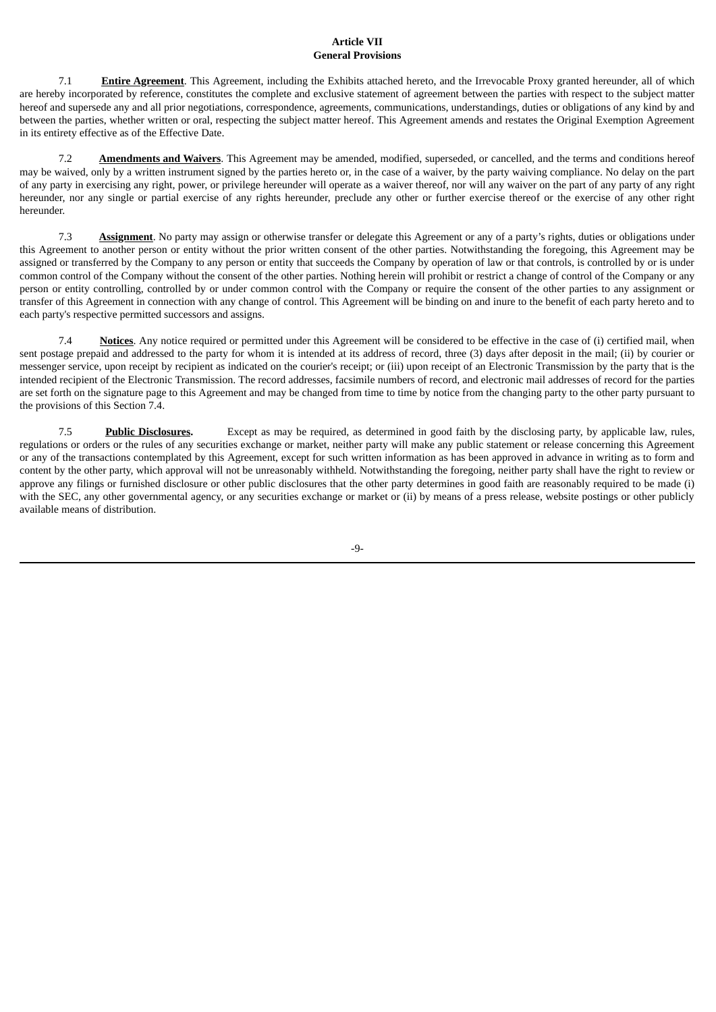#### **Article VII General Provisions**

7.1 **Entire Agreement**. This Agreement, including the Exhibits attached hereto, and the Irrevocable Proxy granted hereunder, all of which are hereby incorporated by reference, constitutes the complete and exclusive statement of agreement between the parties with respect to the subject matter hereof and supersede any and all prior negotiations, correspondence, agreements, communications, understandings, duties or obligations of any kind by and between the parties, whether written or oral, respecting the subject matter hereof. This Agreement amends and restates the Original Exemption Agreement in its entirety effective as of the Effective Date.

7.2 **Amendments and Waivers**. This Agreement may be amended, modified, superseded, or cancelled, and the terms and conditions hereof may be waived, only by a written instrument signed by the parties hereto or, in the case of a waiver, by the party waiving compliance. No delay on the part of any party in exercising any right, power, or privilege hereunder will operate as a waiver thereof, nor will any waiver on the part of any party of any right hereunder, nor any single or partial exercise of any rights hereunder, preclude any other or further exercise thereof or the exercise of any other right hereunder.

7.3 **Assignment**. No party may assign or otherwise transfer or delegate this Agreement or any of a party's rights, duties or obligations under this Agreement to another person or entity without the prior written consent of the other parties. Notwithstanding the foregoing, this Agreement may be assigned or transferred by the Company to any person or entity that succeeds the Company by operation of law or that controls, is controlled by or is under common control of the Company without the consent of the other parties. Nothing herein will prohibit or restrict a change of control of the Company or any person or entity controlling, controlled by or under common control with the Company or require the consent of the other parties to any assignment or transfer of this Agreement in connection with any change of control. This Agreement will be binding on and inure to the benefit of each party hereto and to each party's respective permitted successors and assigns.

7.4 **Notices**. Any notice required or permitted under this Agreement will be considered to be effective in the case of (i) certified mail, when sent postage prepaid and addressed to the party for whom it is intended at its address of record, three (3) days after deposit in the mail; (ii) by courier or messenger service, upon receipt by recipient as indicated on the courier's receipt; or (iii) upon receipt of an Electronic Transmission by the party that is the intended recipient of the Electronic Transmission. The record addresses, facsimile numbers of record, and electronic mail addresses of record for the parties are set forth on the signature page to this Agreement and may be changed from time to time by notice from the changing party to the other party pursuant to the provisions of this Section 7.4.

7.5 **Public Disclosures.** Except as may be required, as determined in good faith by the disclosing party, by applicable law, rules, regulations or orders or the rules of any securities exchange or market, neither party will make any public statement or release concerning this Agreement or any of the transactions contemplated by this Agreement, except for such written information as has been approved in advance in writing as to form and content by the other party, which approval will not be unreasonably withheld. Notwithstanding the foregoing, neither party shall have the right to review or approve any filings or furnished disclosure or other public disclosures that the other party determines in good faith are reasonably required to be made (i) with the SEC, any other governmental agency, or any securities exchange or market or (ii) by means of a press release, website postings or other publicly available means of distribution.

-9-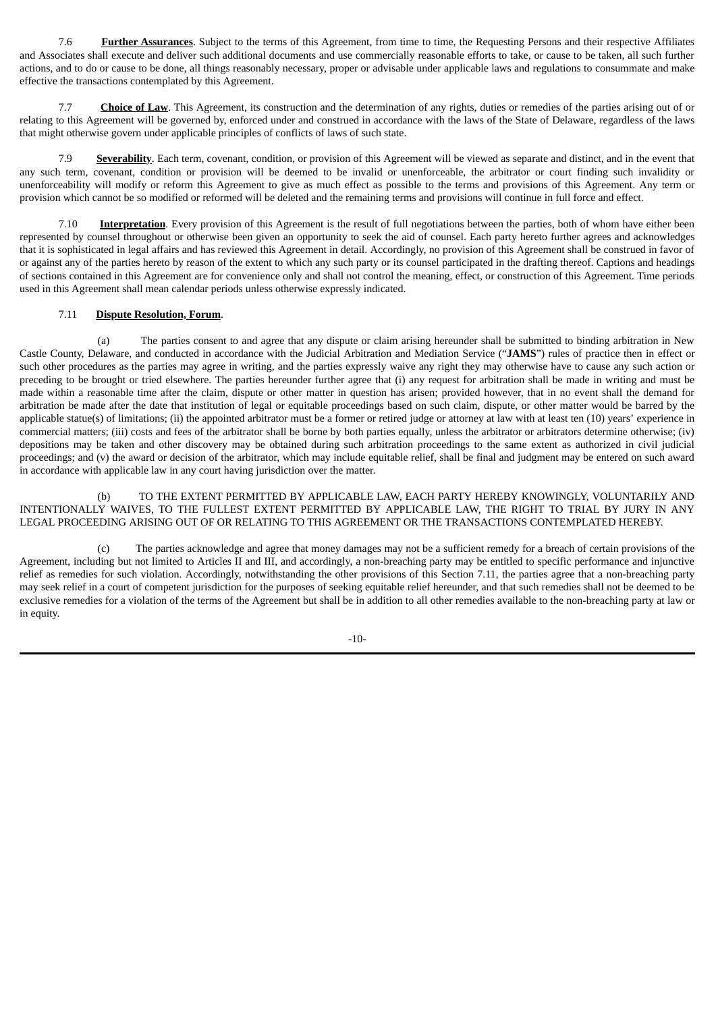7.6 **Further Assurances**. Subject to the terms of this Agreement, from time to time, the Requesting Persons and their respective Affiliates and Associates shall execute and deliver such additional documents and use commercially reasonable efforts to take, or cause to be taken, all such further actions, and to do or cause to be done, all things reasonably necessary, proper or advisable under applicable laws and regulations to consummate and make effective the transactions contemplated by this Agreement.

7.7 **Choice of Law**. This Agreement, its construction and the determination of any rights, duties or remedies of the parties arising out of or relating to this Agreement will be governed by, enforced under and construed in accordance with the laws of the State of Delaware, regardless of the laws that might otherwise govern under applicable principles of conflicts of laws of such state.

**Severability**. Each term, covenant, condition, or provision of this Agreement will be viewed as separate and distinct, and in the event that any such term, covenant, condition or provision will be deemed to be invalid or unenforceable, the arbitrator or court finding such invalidity or unenforceability will modify or reform this Agreement to give as much effect as possible to the terms and provisions of this Agreement. Any term or provision which cannot be so modified or reformed will be deleted and the remaining terms and provisions will continue in full force and effect.

7.10 **Interpretation**. Every provision of this Agreement is the result of full negotiations between the parties, both of whom have either been represented by counsel throughout or otherwise been given an opportunity to seek the aid of counsel. Each party hereto further agrees and acknowledges that it is sophisticated in legal affairs and has reviewed this Agreement in detail. Accordingly, no provision of this Agreement shall be construed in favor of or against any of the parties hereto by reason of the extent to which any such party or its counsel participated in the drafting thereof. Captions and headings of sections contained in this Agreement are for convenience only and shall not control the meaning, effect, or construction of this Agreement. Time periods used in this Agreement shall mean calendar periods unless otherwise expressly indicated.

#### 7.11 **Dispute Resolution, Forum**.

(a) The parties consent to and agree that any dispute or claim arising hereunder shall be submitted to binding arbitration in New Castle County, Delaware, and conducted in accordance with the Judicial Arbitration and Mediation Service ("**JAMS**") rules of practice then in effect or such other procedures as the parties may agree in writing, and the parties expressly waive any right they may otherwise have to cause any such action or preceding to be brought or tried elsewhere. The parties hereunder further agree that (i) any request for arbitration shall be made in writing and must be made within a reasonable time after the claim, dispute or other matter in question has arisen; provided however, that in no event shall the demand for arbitration be made after the date that institution of legal or equitable proceedings based on such claim, dispute, or other matter would be barred by the applicable statue(s) of limitations; (ii) the appointed arbitrator must be a former or retired judge or attorney at law with at least ten (10) years' experience in commercial matters; (iii) costs and fees of the arbitrator shall be borne by both parties equally, unless the arbitrator or arbitrators determine otherwise; (iv) depositions may be taken and other discovery may be obtained during such arbitration proceedings to the same extent as authorized in civil judicial proceedings; and (v) the award or decision of the arbitrator, which may include equitable relief, shall be final and judgment may be entered on such award in accordance with applicable law in any court having jurisdiction over the matter.

(b) TO THE EXTENT PERMITTED BY APPLICABLE LAW, EACH PARTY HEREBY KNOWINGLY, VOLUNTARILY AND INTENTIONALLY WAIVES, TO THE FULLEST EXTENT PERMITTED BY APPLICABLE LAW, THE RIGHT TO TRIAL BY JURY IN ANY LEGAL PROCEEDING ARISING OUT OF OR RELATING TO THIS AGREEMENT OR THE TRANSACTIONS CONTEMPLATED HEREBY.

(c) The parties acknowledge and agree that money damages may not be a sufficient remedy for a breach of certain provisions of the Agreement, including but not limited to Articles II and III, and accordingly, a non-breaching party may be entitled to specific performance and injunctive relief as remedies for such violation. Accordingly, notwithstanding the other provisions of this Section 7.11, the parties agree that a non-breaching party may seek relief in a court of competent jurisdiction for the purposes of seeking equitable relief hereunder, and that such remedies shall not be deemed to be exclusive remedies for a violation of the terms of the Agreement but shall be in addition to all other remedies available to the non-breaching party at law or in equity.

-10-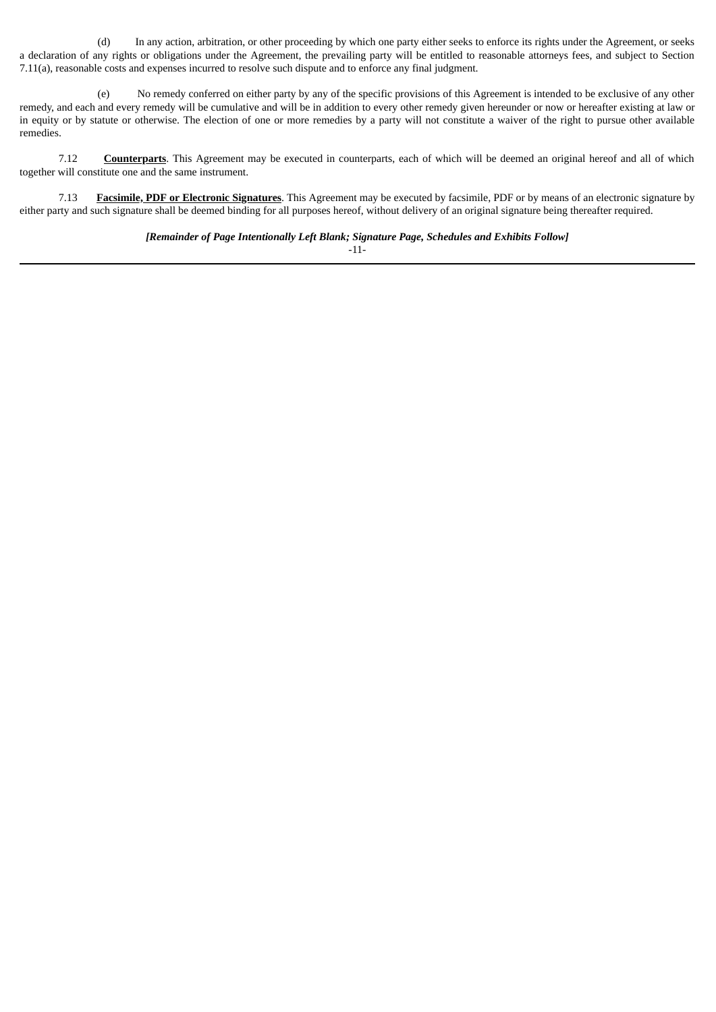(d) In any action, arbitration, or other proceeding by which one party either seeks to enforce its rights under the Agreement, or seeks a declaration of any rights or obligations under the Agreement, the prevailing party will be entitled to reasonable attorneys fees, and subject to Section 7.11(a), reasonable costs and expenses incurred to resolve such dispute and to enforce any final judgment.

(e) No remedy conferred on either party by any of the specific provisions of this Agreement is intended to be exclusive of any other remedy, and each and every remedy will be cumulative and will be in addition to every other remedy given hereunder or now or hereafter existing at law or in equity or by statute or otherwise. The election of one or more remedies by a party will not constitute a waiver of the right to pursue other available remedies.

7.12 **Counterparts**. This Agreement may be executed in counterparts, each of which will be deemed an original hereof and all of which together will constitute one and the same instrument.

7.13 **Facsimile, PDF or Electronic Signatures**. This Agreement may be executed by facsimile, PDF or by means of an electronic signature by either party and such signature shall be deemed binding for all purposes hereof, without delivery of an original signature being thereafter required.

*[Remainder of Page Intentionally Left Blank; Signature Page, Schedules and Exhibits Follow]*

-11-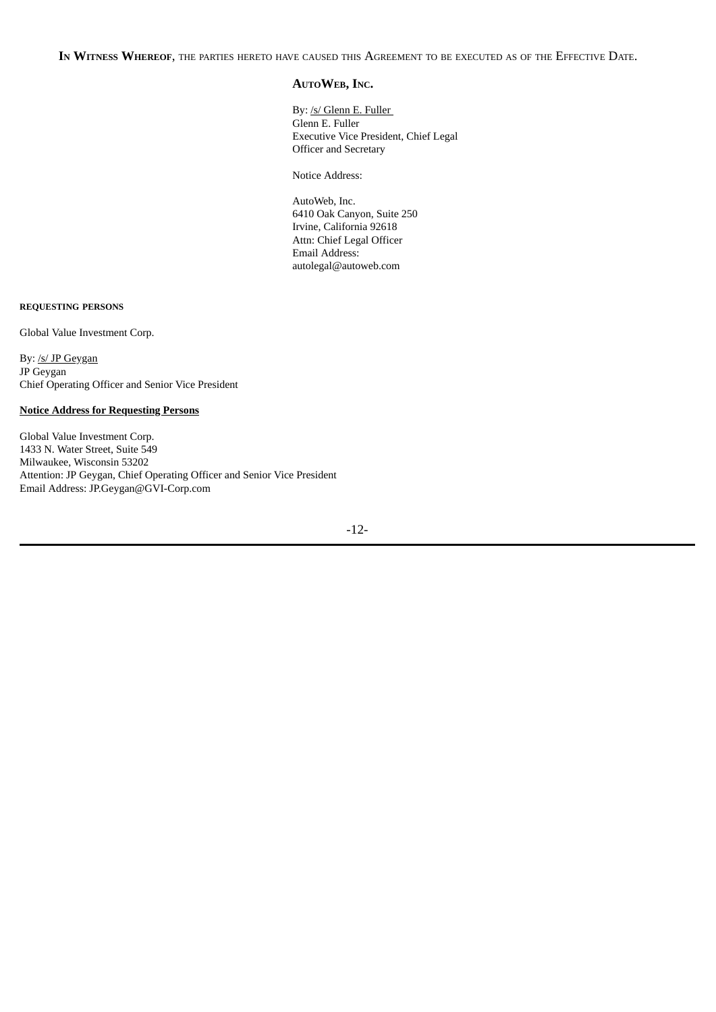**IN WITNESS WHEREOF**, THE PARTIES HERETO HAVE CAUSED THIS AGREEMENT TO BE EXECUTED AS OF THE EFFECTIVE DATE.

### **AUTOWEB, INC.**

By: /s/ Glenn E. Fuller Glenn E. Fuller Executive Vice President, Chief Legal Officer and Secretary

Notice Address:

AutoWeb, Inc. 6410 Oak Canyon, Suite 250 Irvine, California 92618 Attn: Chief Legal Officer Email Address: autolegal@autoweb.com

#### **REQUESTING PERSONS**

Global Value Investment Corp.

By: /s/ JP Geygan JP Geygan Chief Operating Officer and Senior Vice President

#### **Notice Address for Requesting Persons**

Global Value Investment Corp. 1433 N. Water Street, Suite 549 Milwaukee, Wisconsin 53202 Attention: JP Geygan, Chief Operating Officer and Senior Vice President Email Address: JP.Geygan@GVI-Corp.com

-12-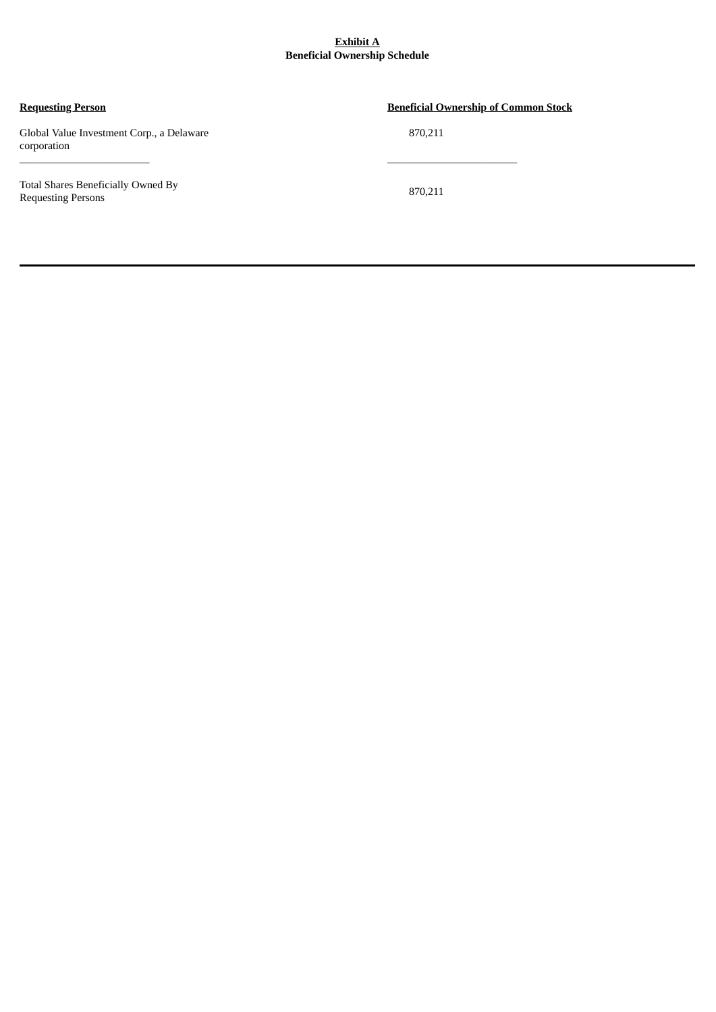#### **Exhibit A Beneficial Ownership Schedule**

\_\_\_\_\_\_\_\_\_\_\_\_\_\_\_\_\_\_\_\_\_\_\_\_ \_\_\_\_\_\_\_\_\_\_\_\_\_\_\_\_\_\_\_\_\_\_\_\_

Global Value Investment Corp., a Delaware 870,211 corporation

Total Shares Beneficially Owned By Requesting Persons

## **Requesting Person Beneficial Ownership of Common Stock**

870,211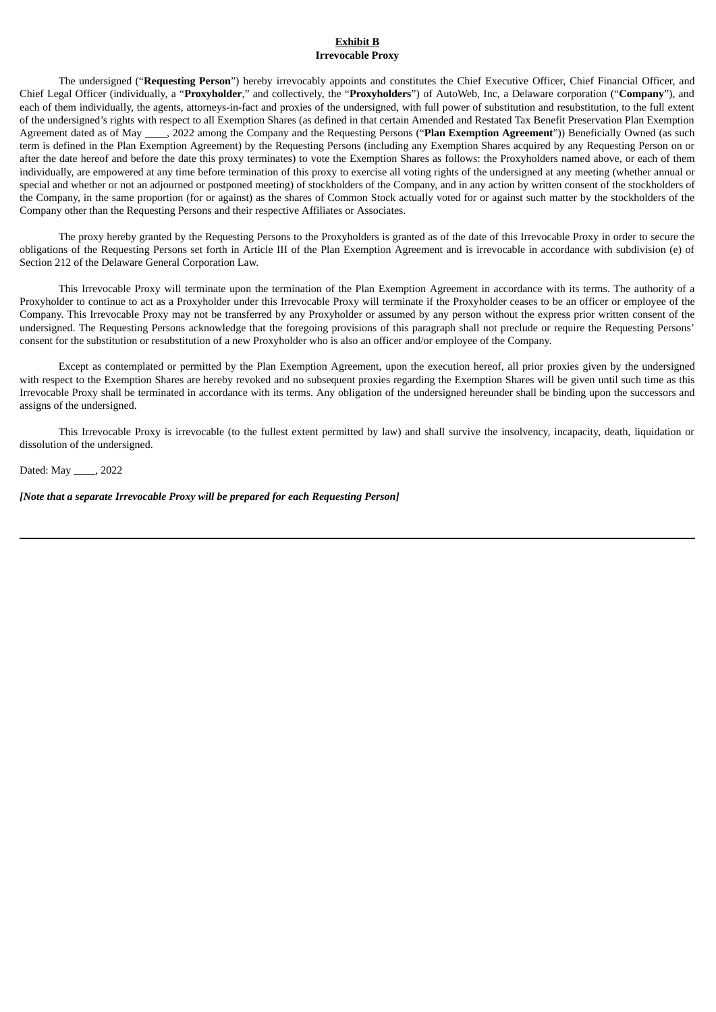#### **Exhibit B Irrevocable Proxy**

The undersigned ("**Requesting Person**") hereby irrevocably appoints and constitutes the Chief Executive Officer, Chief Financial Officer, and Chief Legal Officer (individually, a "**Proxyholder**," and collectively, the "**Proxyholders**") of AutoWeb, Inc, a Delaware corporation ("**Company**"), and each of them individually, the agents, attorneys-in-fact and proxies of the undersigned, with full power of substitution and resubstitution, to the full extent of the undersigned's rights with respect to all Exemption Shares (as defined in that certain Amended and Restated Tax Benefit Preservation Plan Exemption Agreement dated as of May \_\_\_\_, 2022 among the Company and the Requesting Persons ("**Plan Exemption Agreement**")) Beneficially Owned (as such term is defined in the Plan Exemption Agreement) by the Requesting Persons (including any Exemption Shares acquired by any Requesting Person on or after the date hereof and before the date this proxy terminates) to vote the Exemption Shares as follows: the Proxyholders named above, or each of them individually, are empowered at any time before termination of this proxy to exercise all voting rights of the undersigned at any meeting (whether annual or special and whether or not an adjourned or postponed meeting) of stockholders of the Company, and in any action by written consent of the stockholders of the Company, in the same proportion (for or against) as the shares of Common Stock actually voted for or against such matter by the stockholders of the Company other than the Requesting Persons and their respective Affiliates or Associates.

The proxy hereby granted by the Requesting Persons to the Proxyholders is granted as of the date of this Irrevocable Proxy in order to secure the obligations of the Requesting Persons set forth in Article III of the Plan Exemption Agreement and is irrevocable in accordance with subdivision (e) of Section 212 of the Delaware General Corporation Law.

This Irrevocable Proxy will terminate upon the termination of the Plan Exemption Agreement in accordance with its terms. The authority of a Proxyholder to continue to act as a Proxyholder under this Irrevocable Proxy will terminate if the Proxyholder ceases to be an officer or employee of the Company. This Irrevocable Proxy may not be transferred by any Proxyholder or assumed by any person without the express prior written consent of the undersigned. The Requesting Persons acknowledge that the foregoing provisions of this paragraph shall not preclude or require the Requesting Persons' consent for the substitution or resubstitution of a new Proxyholder who is also an officer and/or employee of the Company.

Except as contemplated or permitted by the Plan Exemption Agreement, upon the execution hereof, all prior proxies given by the undersigned with respect to the Exemption Shares are hereby revoked and no subsequent proxies regarding the Exemption Shares will be given until such time as this Irrevocable Proxy shall be terminated in accordance with its terms. Any obligation of the undersigned hereunder shall be binding upon the successors and assigns of the undersigned.

This Irrevocable Proxy is irrevocable (to the fullest extent permitted by law) and shall survive the insolvency, incapacity, death, liquidation or dissolution of the undersigned.

Dated: May \_\_\_\_, 2022

*[Note that a separate Irrevocable Proxy will be prepared for each Requesting Person]*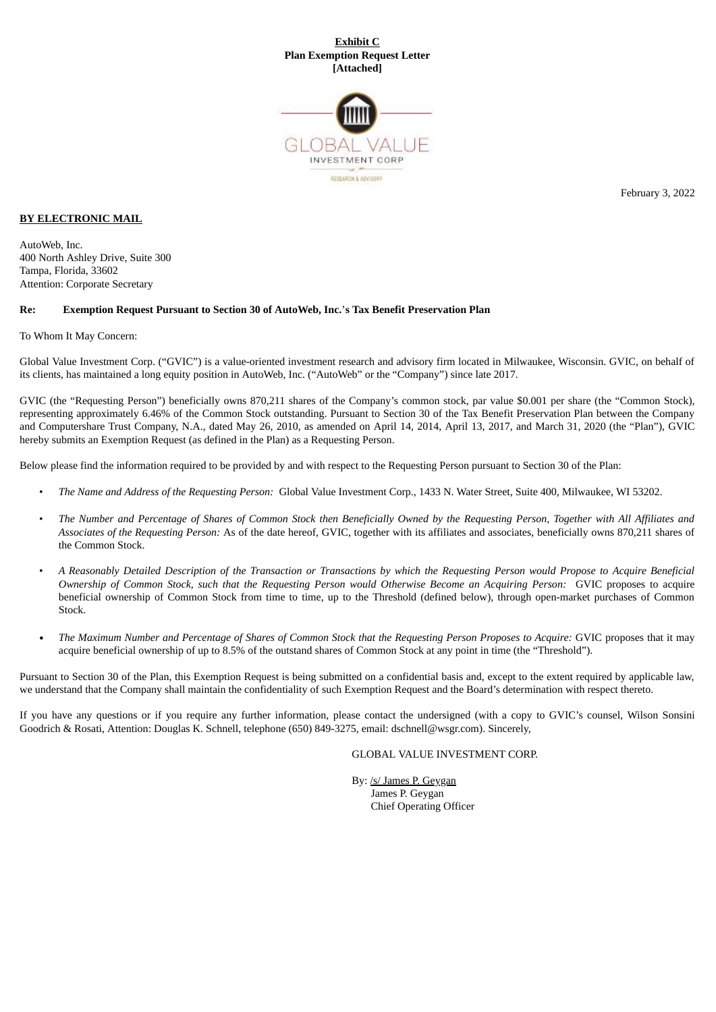#### **Exhibit C Plan Exemption Request Letter [Attached]**



**BY ELECTRONIC MAIL**

AutoWeb, Inc. 400 North Ashley Drive, Suite 300 Tampa, Florida, 33602 Attention: Corporate Secretary

#### **Re: Exemption Request Pursuant to Section 30 of AutoWeb, Inc.**'**s Tax Benefit Preservation Plan**

To Whom It May Concern:

Global Value Investment Corp. ("GVIC") is a value-oriented investment research and advisory firm located in Milwaukee, Wisconsin. GVIC, on behalf of its clients, has maintained a long equity position in AutoWeb, Inc. ("AutoWeb" or the "Company") since late 2017.

GVIC (the "Requesting Person") beneficially owns 870,211 shares of the Company's common stock, par value \$0.001 per share (the "Common Stock), representing approximately 6.46% of the Common Stock outstanding. Pursuant to Section 30 of the Tax Benefit Preservation Plan between the Company and Computershare Trust Company, N.A., dated May 26, 2010, as amended on April 14, 2014, April 13, 2017, and March 31, 2020 (the "Plan"), GVIC hereby submits an Exemption Request (as defined in the Plan) as a Requesting Person.

Below please find the information required to be provided by and with respect to the Requesting Person pursuant to Section 30 of the Plan:

- *The Name and Address of the Requesting Person:* Global Value Investment Corp., 1433 N. Water Street, Suite 400, Milwaukee, WI 53202.
- The Number and Percentage of Shares of Common Stock then Beneficially Owned by the Requesting Person, Together with All Affiliates and *Associates of the Requesting Person:* As of the date hereof, GVIC, together with its affiliates and associates, beneficially owns 870,211 shares of the Common Stock.
- A Reasonably Detailed Description of the Transaction or Transactions by which the Requesting Person would Propose to Acquire Beneficial Ownership of Common Stock, such that the Requesting Person would Otherwise Become an Acquiring Person: GVIC proposes to acquire beneficial ownership of Common Stock from time to time, up to the Threshold (defined below), through open-market purchases of Common Stock.
- The Maximum Number and Percentage of Shares of Common Stock that the Requesting Person Proposes to Acquire: GVIC proposes that it may acquire beneficial ownership of up to 8.5% of the outstand shares of Common Stock at any point in time (the "Threshold").

Pursuant to Section 30 of the Plan, this Exemption Request is being submitted on a confidential basis and, except to the extent required by applicable law, we understand that the Company shall maintain the confidentiality of such Exemption Request and the Board's determination with respect thereto.

If you have any questions or if you require any further information, please contact the undersigned (with a copy to GVIC's counsel, Wilson Sonsini Goodrich & Rosati, Attention: Douglas K. Schnell, telephone (650) 849-3275, email: dschnell@wsgr.com). Sincerely,

GLOBAL VALUE INVESTMENT CORP.

By: /s/ James P. Geygan James P. Geygan Chief Operating Officer February 3, 2022